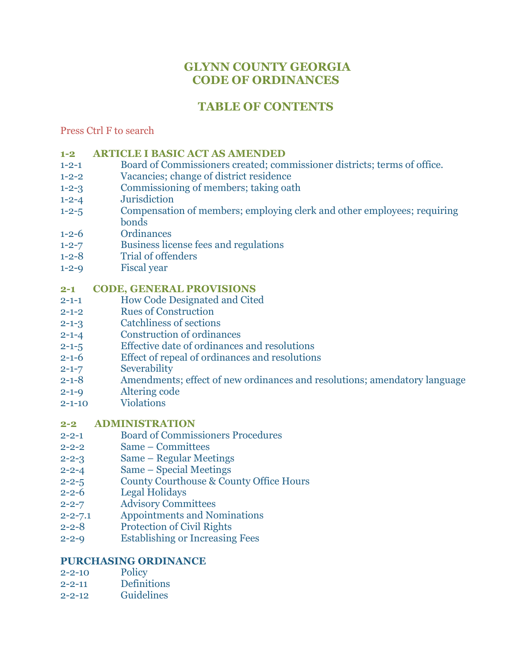# **GLYNN COUNTY GEORGIA CODE OF ORDINANCES**

# **TABLE OF CONTENTS**

Press Ctrl F to search

- **[1-2 ARTICLE I BASIC ACT AS AMENDED](http://www.glynncounty.org/Archive.aspx?ADID=62)**
- 1-2-1 [Board of Commissioners created; commissioner districts; terms of office.](http://www.glynncounty.org/Archive.aspx?ADID=62)
- 1-2-2 [Vacancies; change of district residence](http://www.glynncounty.org/Archive.aspx?ADID=62)
- 1-2-3 [Commissioning of members; taking oath](http://www.glynncounty.org/Archive.aspx?ADID=62)
- 1-2-4 [Jurisdiction](http://www.glynncounty.org/Archive.aspx?ADID=62)
- 1-2-5 [Compensation of members; employing clerk and other employees;](http://www.glynncounty.org/Archive.aspx?ADID=62) requiring [bonds](http://www.glynncounty.org/Archive.aspx?ADID=62)
- 1-2-6 [Ordinances](http://www.glynncounty.org/Archive.aspx?ADID=62)
- 1-2-7 [Business license fees and regulations](http://www.glynncounty.org/Archive.aspx?ADID=62)
- 1-2-8 [Trial of offenders](http://www.glynncounty.org/Archive.aspx?ADID=62)
- 1-2-9 [Fiscal year](http://www.glynncounty.org/Archive.aspx?ADID=62)

### **2-1 CODE, [GENERAL PROVISIONS](http://www.glynncounty.org/Archive.aspx?ADID=64)**

- 2-1-1 [How Code Designated and Cited](http://www.glynncounty.org/Archive.aspx?ADID=64)
- 2-1-2 [Rues of Construction](http://www.glynncounty.org/Archive.aspx?ADID=64)
- 2-1-3 [Catchliness of sections](http://www.glynncounty.org/Archive.aspx?ADID=64)
- 2-1-4 [Construction of ordinances](http://www.glynncounty.org/Archive.aspx?ADID=64)
- 2-1-5 [Effective date of ordinances and resolutions](http://www.glynncounty.org/Archive.aspx?ADID=64)
- 2-1-6 [Effect of repeal of ordinances and resolutions](http://www.glynncounty.org/Archive.aspx?ADID=64)
- 2-1-7 [Severability](http://www.glynncounty.org/Archive.aspx?ADID=64)
- 2-1-8 [Amendments; effect of new ordinances and resolutions; amendatory language](http://www.glynncounty.org/Archive.aspx?ADID=64)
- 2-1-9 [Altering code](http://www.glynncounty.org/Archive.aspx?ADID=64)
- 2-1-10 [Violations](http://www.glynncounty.org/Archive.aspx?ADID=64)

### **[2-2 ADMINISTRATION](http://www.glynncounty.org/Archive.aspx?ADID=63)**

- 2-2-1 [Board of Commissioners Procedures](http://www.glynncounty.org/Archive.aspx?ADID=63)
- 2-2-2 Same [Committees](http://www.glynncounty.org/Archive.aspx?ADID=63)
- 2-2-3 Same [Regular Meetings](http://www.glynncounty.org/Archive.aspx?ADID=63)
- 2-2-4 Same [Special Meetings](http://www.glynncounty.org/Archive.aspx?ADID=63)
- 2-2-5 [County Courthouse & County Office](http://www.glynncounty.org/Archive.aspx?ADID=63) Hours
- 2-2-6 [Legal Holidays](http://www.glynncounty.org/Archive.aspx?ADID=63)
- 2-2-7 [Advisory Committees](http://www.glynncounty.org/Archive.aspx?ADID=63)
- 2-2-7.1 [Appointments and Nominations](http://www.glynncounty.org/Archive.aspx?ADID=63)
- 2-2-8 [Protection of Civil Rights](http://www.glynncounty.org/Archive.aspx?ADID=63)
- 2-2-9 [Establishing or Increasing Fees](http://www.glynncounty.org/Archive.aspx?ADID=63)

#### **[PURCHASING ORDINANCE](http://www.glynncounty.org/Archive.aspx?ADID=63)**

- [2-2-10](http://www.glynncounty.org/Archive.aspx?ADID=63) Policy
- 2-2-11 [Definitions](http://www.glynncounty.org/Archive.aspx?ADID=63)
- 2-2-12 [Guidelines](http://www.glynncounty.org/Archive.aspx?ADID=63)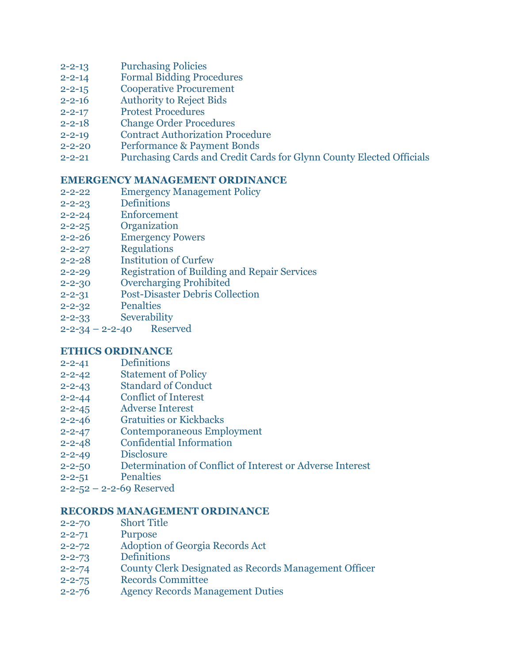- 2-2-13 [Purchasing Policies](http://www.glynncounty.org/Archive.aspx?ADID=63)
- 2-2-14 [Formal Bidding Procedures](http://www.glynncounty.org/Archive.aspx?ADID=63)
- 2-2-15 [Cooperative Procurement](http://www.glynncounty.org/Archive.aspx?ADID=63)
- 2-2-16 [Authority to Reject Bids](http://www.glynncounty.org/Archive.aspx?ADID=63)
- 2-2-17 [Protest Procedures](http://www.glynncounty.org/Archive.aspx?ADID=63)
- 2-2-18 [Change Order Procedures](http://www.glynncounty.org/Archive.aspx?ADID=63)
- 2-2-19 [Contract Authorization Procedure](http://www.glynncounty.org/Archive.aspx?ADID=63)
- 2-2-20 [Performance & Payment Bonds](http://www.glynncounty.org/Archive.aspx?ADID=63)
- 2-2-21 [Purchasing Cards and Credit Cards for Glynn County Elected Officials](http://www.glynncounty.org/Archive.aspx?ADID=63)

#### **[EMERGENCY MANAGEMENT ORDINANCE](http://www.glynncounty.org/Archive.aspx?ADID=63)**

- 2-2-22 [Emergency Management Policy](http://www.glynncounty.org/Archive.aspx?ADID=63)
- 2-2-23 [Definitions](http://www.glynncounty.org/Archive.aspx?ADID=63)
- 2-2-24 [Enforcement](http://www.glynncounty.org/Archive.aspx?ADID=63)
- 2-2-25 [Organization](http://www.glynncounty.org/Archive.aspx?ADID=63)
- 2-2-26 [Emergency Powers](http://www.glynncounty.org/Archive.aspx?ADID=63)
- 2-2-27 [Regulations](http://www.glynncounty.org/Archive.aspx?ADID=63)
- 2-2-28 [Institution of Curfew](http://www.glynncounty.org/Archive.aspx?ADID=63)
- 2-2-29 [Registration of Building and Repair Services](http://www.glynncounty.org/Archive.aspx?ADID=63)
- 2-2-30 [Overcharging Prohibited](http://www.glynncounty.org/Archive.aspx?ADID=63)
- 2-2-31 [Post-Disaster Debris Collection](http://www.glynncounty.org/Archive.aspx?ADID=63)
- 2-2-32 [Penalties](http://www.glynncounty.org/Archive.aspx?ADID=63)
- 2-2-33 [Severability](http://www.glynncounty.org/Archive.aspx?ADID=63)
- 2-2-34 2-2-40 [Reserved](http://www.glynncounty.org/Archive.aspx?ADID=63)

#### **[ETHICS ORDINANCE](http://www.glynncounty.org/Archive.aspx?ADID=63)**

- 2-2-41 [Definitions](http://www.glynncounty.org/Archive.aspx?ADID=63)
- 2-2-42 [Statement of Policy](http://www.glynncounty.org/Archive.aspx?ADID=63)
- 2-2-43 [Standard of Conduct](http://www.glynncounty.org/Archive.aspx?ADID=63)
- 2-2-44 [Conflict of Interest](http://www.glynncounty.org/Archive.aspx?ADID=63)
- 2-2-45 [Adverse Interest](http://www.glynncounty.org/Archive.aspx?ADID=63)
- 2-2-46 [Gratuities or Kickbacks](http://www.glynncounty.org/Archive.aspx?ADID=63)
- 2-2-47 [Contemporaneous Employment](http://www.glynncounty.org/Archive.aspx?ADID=63)
- 2-2-48 [Confidential Information](http://www.glynncounty.org/Archive.aspx?ADID=63)
- 2-2-49 [Disclosure](http://www.glynncounty.org/Archive.aspx?ADID=63)
- 2-2-50 [Determination of Conflict of Interest or](http://www.glynncounty.org/Archive.aspx?ADID=63) Adverse Interest
- 2-2-51 [Penalties](http://www.glynncounty.org/Archive.aspx?ADID=63)
- 2-2-52 [2-2-69 Reserved](http://www.glynncounty.org/Archive.aspx?ADID=63)

#### **[RECORDS MANAGEMENT ORDINANCE](http://www.glynncounty.org/Archive.aspx?ADID=63)**

- 2-2-70 [Short Title](http://www.glynncounty.org/Archive.aspx?ADID=63)
- 2-2-71 [Purpose](http://www.glynncounty.org/Archive.aspx?ADID=63)
- 2-2-72 [Adoption of Georgia Records Act](http://www.glynncounty.org/Archive.aspx?ADID=63)
- 2-2-73 [Definitions](http://www.glynncounty.org/Archive.aspx?ADID=63)
- 2-2-74 [County Clerk Designated as Records Management Officer](http://www.glynncounty.org/Archive.aspx?ADID=63)
- 2-2-75 [Records Committee](http://www.glynncounty.org/Archive.aspx?ADID=63)
- 2-2-76 [Agency Records Management Duties](http://www.glynncounty.org/Archive.aspx?ADID=63)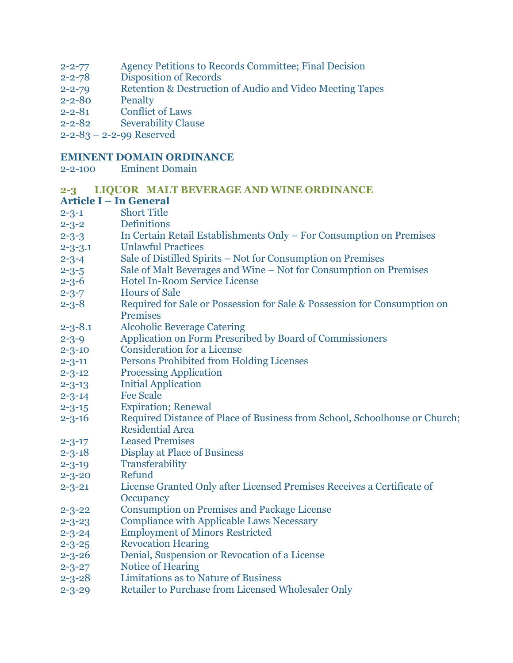- 2-2-77 [Agency Petitions to Records Committee; Final Decision](http://www.glynncounty.org/Archive.aspx?ADID=63)
- 2-2-78 [Disposition of Records](http://www.glynncounty.org/Archive.aspx?ADID=63)
- 2-2-79 [Retention & Destruction of Audio and](http://www.glynncounty.org/Archive.aspx?ADID=63) Video Meeting Tapes
- 2-2-80 [Penalty](http://www.glynncounty.org/Archive.aspx?ADID=63)
- 2-2-81 [Conflict of Laws](http://www.glynncounty.org/Archive.aspx?ADID=63)
- 2-2-82 [Severability Clause](http://www.glynncounty.org/Archive.aspx?ADID=63)
- 2-2-83 [2-2-99 Reserved](http://www.glynncounty.org/Archive.aspx?ADID=63)

#### **EMINENT DOMAIN ORDINANCE**

2-2-100 Eminent Domain

# **[2-3 LIQUOR MALT BEVERAGE AND WINE ORDINANCE](http://www.glynncounty.org/Archive.aspx?ADID=65)**

#### **Article I – [In General](http://www.glynncounty.org/Archive.aspx?ADID=65)**

- 2-3-1 [Short Title](http://www.glynncounty.org/Archive.aspx?ADID=65)
- 2-3-2 [Definitions](http://www.glynncounty.org/Archive.aspx?ADID=65)
- 2-3-3 [In Certain Retail Establishments Only](http://www.glynncounty.org/Archive.aspx?ADID=65)  For Consumption on Premises
- 2-3-3.1 [Unlawful Practices](http://www.glynncounty.org/Archive.aspx?ADID=65)
- 2-3-4 Sale of Distilled Spirits [Not for Consumption on Premises](http://www.glynncounty.org/Archive.aspx?ADID=65)
- 2-3-5 Sale of Malt Beverages and Wine [Not for Consumption on Premises](http://www.glynncounty.org/Archive.aspx?ADID=65)
- 2-3-6 [Hotel In-Room Service License](http://www.glynncounty.org/Archive.aspx?ADID=65)
- 2-3-7 [Hours of Sale](http://www.glynncounty.org/Archive.aspx?ADID=65)
- 2-3-8 [Required for Sale or Possession for Sale & Possession for Consumption on](http://www.glynncounty.org/Archive.aspx?ADID=65)  [Premises](http://www.glynncounty.org/Archive.aspx?ADID=65)
- 2-3-8.1 [Alcoholic Beverage Catering](http://www.glynncounty.org/Archive.aspx?ADID=65)
- 2-3-9 [Application on Form Prescribed by Board](http://www.glynncounty.org/Archive.aspx?ADID=65) of Commissioners
- 2-3-10 [Consideration for a License](http://www.glynncounty.org/Archive.aspx?ADID=65)
- 2-3-11 [Persons Prohibited from Holding Licenses](http://www.glynncounty.org/Archive.aspx?ADID=65)
- 2-3-12 [Processing Application](http://www.glynncounty.org/Archive.aspx?ADID=65)
- 2-3-13 [Initial Application](http://www.glynncounty.org/Archive.aspx?ADID=65)
- 2-3-14 [Fee Scale](http://www.glynncounty.org/Archive.aspx?ADID=65)
- 2-3-15 [Expiration; Renewal](http://www.glynncounty.org/Archive.aspx?ADID=65)
- 2-3-16 [Required Distance of Place of Business](http://www.glynncounty.org/Archive.aspx?ADID=65) from School, Schoolhouse or Church; [Residential Area](http://www.glynncounty.org/Archive.aspx?ADID=65)
- 2-3-17 [Leased Premises](http://www.glynncounty.org/Archive.aspx?ADID=65)
- 2-3-18 [Display at Place of Business](http://www.glynncounty.org/Archive.aspx?ADID=65)
- 2-3-19 [Transferability](http://www.glynncounty.org/Archive.aspx?ADID=65)
- 2-3-20 [Refund](http://www.glynncounty.org/Archive.aspx?ADID=65)
- 2-3-21 [License Granted Only after Licensed Premises Receives a](http://www.glynncounty.org/Archive.aspx?ADID=65) Certificate of **[Occupancy](http://www.glynncounty.org/Archive.aspx?ADID=65)**
- 2-3-22 [Consumption on Premises and Package License](http://www.glynncounty.org/Archive.aspx?ADID=65)
- 2-3-23 [Compliance with Applicable Laws](http://www.glynncounty.org/Archive.aspx?ADID=65) Necessary
- 2-3-24 [Employment of Minors Restricted](http://www.glynncounty.org/Archive.aspx?ADID=65)
- 2-3-25 [Revocation Hearing](http://www.glynncounty.org/Archive.aspx?ADID=65)
- 2-3-26 [Denial, Suspension or Revocation of a](http://www.glynncounty.org/Archive.aspx?ADID=65) License
- 2-3-27 [Notice of Hearing](http://www.glynncounty.org/Archive.aspx?ADID=65)
- 2-3-28 [Limitations as to Nature of Business](http://www.glynncounty.org/Archive.aspx?ADID=65)
- 2-3-29 [Retailer to Purchase from Licensed](http://www.glynncounty.org/Archive.aspx?ADID=65) Wholesaler Only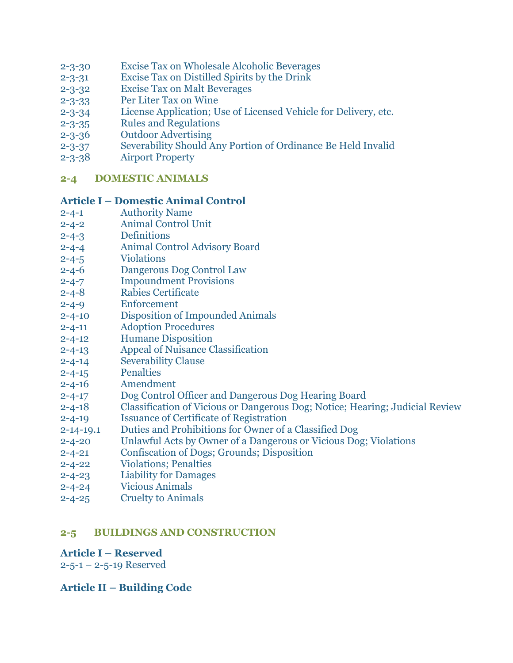- 2-3-30 [Excise Tax on Wholesale Alcoholic Beverages](http://www.glynncounty.org/Archive.aspx?ADID=65)
- 2-3-31 [Excise Tax on Distilled Spirits by the](http://www.glynncounty.org/Archive.aspx?ADID=65) Drink
- 2-3-32 [Excise Tax on Malt Beverages](http://www.glynncounty.org/Archive.aspx?ADID=65)
- 2-3-33 [Per Liter Tax on Wine](http://www.glynncounty.org/Archive.aspx?ADID=65)
- 2-3-34 [License Application; Use of Licensed](http://www.glynncounty.org/Archive.aspx?ADID=65) Vehicle for Delivery, etc.
- 2-3-35 [Rules and Regulations](http://www.glynncounty.org/Archive.aspx?ADID=65)
- 2-3-36 [Outdoor Advertising](http://www.glynncounty.org/Archive.aspx?ADID=65)
- 2-3-37 [Severability Should Any Portion of Ordinance Be Held Invalid](http://www.glynncounty.org/Archive.aspx?ADID=65)
- 2-3-38 [Airport Property](http://www.glynncounty.org/Archive.aspx?ADID=65)

### **[2-4 DOMESTIC ANIMALS](http://www.glynncounty.org/Archive.aspx?ADID=66)**

#### **Article I – [Domestic Animal Control](http://www.glynncounty.org/Archive.aspx?ADID=66)**

- 2-4-1 [Authority](http://www.glynncounty.org/Archive.aspx?ADID=66) Name
- 2-4-2 [Animal Control Unit](http://www.glynncounty.org/Archive.aspx?ADID=66)
- 2-4-3 [Definitions](http://www.glynncounty.org/Archive.aspx?ADID=66)
- 2-4-4 [Animal Control Advisory Board](http://www.glynncounty.org/Archive.aspx?ADID=66)
- 2-4-5 [Violations](http://www.glynncounty.org/Archive.aspx?ADID=66)
- 2-4-6 [Dangerous Dog Control Law](http://www.glynncounty.org/Archive.aspx?ADID=66)
- 2-4-7 [Impoundment Provisions](http://www.glynncounty.org/Archive.aspx?ADID=66)
- 2-4-8 [Rabies Certificate](http://www.glynncounty.org/Archive.aspx?ADID=66)
- 2-4-9 [Enforcement](http://www.glynncounty.org/Archive.aspx?ADID=66)
- 2-4-10 [Disposition of Impounded Animals](http://www.glynncounty.org/Archive.aspx?ADID=66)
- 2-4-11 [Adoption Procedures](http://www.glynncounty.org/Archive.aspx?ADID=66)
- 2-4-12 [Humane Disposition](http://www.glynncounty.org/Archive.aspx?ADID=66)
- 2-4-13 [Appeal of Nuisance Classification](http://www.glynncounty.org/Archive.aspx?ADID=66)
- 2-4-14 [Severability Clause](http://www.glynncounty.org/Archive.aspx?ADID=66)
- 2-4-15 [Penalties](http://www.glynncounty.org/Archive.aspx?ADID=66)
- 2-4-16 [Amendment](http://www.glynncounty.org/Archive.aspx?ADID=66)
- 2-4-17 [Dog Control Officer and Dangerous Dog Hearing Board](http://www.glynncounty.org/Archive.aspx?ADID=66)
- 2-4-18 [Classification of Vicious or Dangerous Dog; Notice; Hearing; Judicial Review](http://www.glynncounty.org/Archive.aspx?ADID=66)
- 2-4-19 [Issuance of Certificate of Registration](http://www.glynncounty.org/Archive.aspx?ADID=66)
- 2-14-19.1 [Duties and Prohibitions for Owner of a Classified Dog](http://www.glynncounty.org/Archive.aspx?ADID=66)
- 2-4-20 [Unlawful Acts by Owner of a Dangerous or Vicious Dog; Violations](http://www.glynncounty.org/Archive.aspx?ADID=66)
- 2-4-21 [Confiscation of Dogs; Grounds;](http://www.glynncounty.org/Archive.aspx?ADID=66) Disposition
- 2-4-22 [Violations; Penalties](http://www.glynncounty.org/Archive.aspx?ADID=66)
- 2-4-23 [Liability for Damages](http://www.glynncounty.org/Archive.aspx?ADID=66)
- 2-4-24 [Vicious Animals](http://www.glynncounty.org/Archive.aspx?ADID=66)
- 2-4-25 [Cruelty to Animals](http://www.glynncounty.org/Archive.aspx?ADID=66)

# **[2-5 BUILDINGS AND CONSTRUCTION](http://www.glynncounty.org/Archive.aspx?ADID=67)**

# **Article I – [Reserved](http://www.glynncounty.org/Archive.aspx?ADID=67)**

 $2 - 5 - 1 - 2 - 5 - 19$  Reserved

# **Article II – [Building Code](http://www.glynncounty.org/Archive.aspx?ADID=67)**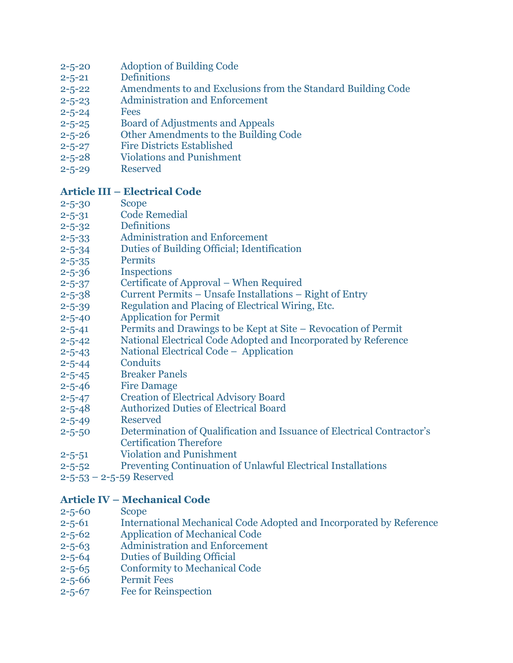- 2-5-20 [Adoption of Building Code](http://www.glynncounty.org/Archive.aspx?ADID=67)
- 2-5-21 [Definitions](http://www.glynncounty.org/Archive.aspx?ADID=67)
- 2-5-22 [Amendments to and Exclusions from the Standard Building Code](http://www.glynncounty.org/Archive.aspx?ADID=67)
- 2-5-23 [Administration and Enforcement](http://www.glynncounty.org/Archive.aspx?ADID=67)
- [2-5-24](http://www.glynncounty.org/Archive.aspx?ADID=67) Fees
- 2-5-25 [Board of Adjustments and Appeals](http://www.glynncounty.org/Archive.aspx?ADID=67)
- 2-5-26 [Other Amendments to the Building Code](http://www.glynncounty.org/Archive.aspx?ADID=67)
- 2-5-27 [Fire Districts Established](http://www.glynncounty.org/Archive.aspx?ADID=67)
- 2-5-28 [Violations and Punishment](http://www.glynncounty.org/Archive.aspx?ADID=67)
- 2-5-29 [Reserved](http://www.glynncounty.org/Archive.aspx?ADID=67)

### **Article III – [Electrical Code](http://www.glynncounty.org/Archive.aspx?ADID=67)**

- [2-5-30](http://www.glynncounty.org/Archive.aspx?ADID=67) Scope
- 2-5-31 [Code Remedial](http://www.glynncounty.org/Archive.aspx?ADID=67)
- 2-5-32 [Definitions](http://www.glynncounty.org/Archive.aspx?ADID=67)
- 2-5-33 [Administration and Enforcement](http://www.glynncounty.org/Archive.aspx?ADID=67)
- 2-5-34 [Duties of Building Official; Identification](http://www.glynncounty.org/Archive.aspx?ADID=67)
- 2-5-35 [Permits](http://www.glynncounty.org/Archive.aspx?ADID=67)
- 2-5-36 [Inspections](http://www.glynncounty.org/Archive.aspx?ADID=67)
- 2-5-37 [Certificate of Approval](http://www.glynncounty.org/Archive.aspx?ADID=67)  When Required
- 2-5-38 Current Permits [Unsafe Installations](http://www.glynncounty.org/Archive.aspx?ADID=67)  Right of Entry
- 2-5-39 [Regulation and Placing of Electrical Wiring, Etc.](http://www.glynncounty.org/Archive.aspx?ADID=67)
- 2-5-40 [Application for Permit](http://www.glynncounty.org/Archive.aspx?ADID=67)
- 2-5-41 [Permits and Drawings to be Kept at Site](http://www.glynncounty.org/Archive.aspx?ADID=67)  Revocation of Permit
- 2-5-42 [National Electrical Code Adopted and Incorporated by Reference](http://www.glynncounty.org/Archive.aspx?ADID=67)
- 2-5-43 [National Electrical Code](http://www.glynncounty.org/Archive.aspx?ADID=67)  Application
- 2-5-44 [Conduits](http://www.glynncounty.org/Archive.aspx?ADID=67)
- 2-5-45 [Breaker Panels](http://www.glynncounty.org/Archive.aspx?ADID=67)
- 2-5-46 [Fire Damage](http://www.glynncounty.org/Archive.aspx?ADID=67)
- 2-5-47 [Creation of Electrical Advisory Board](http://www.glynncounty.org/Archive.aspx?ADID=67)
- 2-5-48 [Authorized Duties of Electrical Board](http://www.glynncounty.org/Archive.aspx?ADID=67)
- 2-5-49 [Reserved](http://www.glynncounty.org/Archive.aspx?ADID=67)
- 2-5-50 [Determination of Qualification and Issuance of Electrical Co](http://www.glynncounty.org/Archive.aspx?ADID=67)ntractor's [Certification Therefore](http://www.glynncounty.org/Archive.aspx?ADID=67)
- 2-5-51 [Violation and Punishment](http://www.glynncounty.org/Archive.aspx?ADID=67)
- 2-5-52 [Preventing Continuation of Unlawful Electrical Installations](http://www.glynncounty.org/Archive.aspx?ADID=67)
- 2-5-53 [2-5-59 Reserved](http://www.glynncounty.org/Archive.aspx?ADID=67)

# **Article IV – [Mechanical Code](http://www.glynncounty.org/Archive.aspx?ADID=67)**

- [2-5-60](http://www.glynncounty.org/Archive.aspx?ADID=67) Scope
- 2-5-61 [International Mechanical Code Adopted and](http://www.glynncounty.org/Archive.aspx?ADID=67) Incorporated by Reference
- 2-5-62 [Application of Mechanical Code](http://www.glynncounty.org/Archive.aspx?ADID=67)
- 2-5-63 [Administration and Enforcement](http://www.glynncounty.org/Archive.aspx?ADID=67)
- 2-5-64 [Duties of Building Official](http://www.glynncounty.org/Archive.aspx?ADID=67)
- 2-5-65 [Conformity to Mechanical Code](http://www.glynncounty.org/Archive.aspx?ADID=67)
- 2-5-66 [Permit Fees](http://www.glynncounty.org/Archive.aspx?ADID=67)
- 2-5-67 [Fee for Reinspection](http://www.glynncounty.org/Archive.aspx?ADID=67)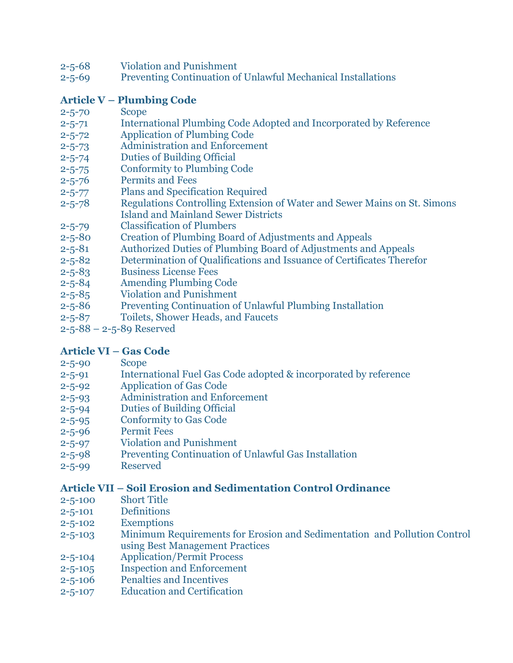- 2-5-68 [Violation and Punishment](http://www.glynncounty.org/Archive.aspx?ADID=67)
- 2-5-69 [Preventing Continuation of Unlawful Mechanical Installations](http://www.glynncounty.org/Archive.aspx?ADID=67)

# **Article V – [Plumbing Code](http://www.glynncounty.org/Archive.aspx?ADID=67)**

- [2-5-70](http://www.glynncounty.org/Archive.aspx?ADID=67) Scope
- 2-5-71 [International Plumbing Code Adopted and Incorporated by Reference](http://www.glynncounty.org/Archive.aspx?ADID=67)
- 2-5-72 [Application of Plumbing Code](http://www.glynncounty.org/Archive.aspx?ADID=67)
- 2-5-73 [Administration and Enforcement](http://www.glynncounty.org/Archive.aspx?ADID=67)
- 2-5-74 [Duties of Building Official](http://www.glynncounty.org/Archive.aspx?ADID=67)
- 2-5-75 [Conformity to Plumbing Code](http://www.glynncounty.org/Archive.aspx?ADID=67)
- 2-5-76 [Permits and Fees](http://www.glynncounty.org/Archive.aspx?ADID=67)
- 2-5-77 [Plans and Specification Required](http://www.glynncounty.org/Archive.aspx?ADID=67)
- 2-5-78 [Regulations Controlling Extension of Water and Sewer Mains on St. Simons](http://www.glynncounty.org/Archive.aspx?ADID=67) [Island and Mainland Sewer Districts](http://www.glynncounty.org/Archive.aspx?ADID=67)
- 2-5-79 [Classification of Plumbers](http://www.glynncounty.org/Archive.aspx?ADID=67)
- 2-5-80 [Creation of Plumbing Board of Adjustments and Appeals](http://www.glynncounty.org/Archive.aspx?ADID=67)
- 2-5-81 [Authorized Duties of Plumbing Board of](http://www.glynncounty.org/Archive.aspx?ADID=67) Adjustments and Appeals
- 2-5-82 [Determination of Qualifications](http://www.glynncounty.org/Archive.aspx?ADID=67) and Issuance of Certificates Therefor
- 2-5-83 [Business License Fees](http://www.glynncounty.org/Archive.aspx?ADID=67)
- 2-5-84 [Amending Plumbing Code](http://www.glynncounty.org/Archive.aspx?ADID=67)
- 2-5-85 [Violation and Punishment](http://www.glynncounty.org/Archive.aspx?ADID=67)
- 2-5-86 [Preventing Continuation of Unlawful Plumbing Installation](http://www.glynncounty.org/Archive.aspx?ADID=67)
- 2-5-87 [Toilets, Shower Heads, and Faucets](http://www.glynncounty.org/Archive.aspx?ADID=67)
- 2-5-88 [2-5-89 Reserved](http://www.glynncounty.org/Archive.aspx?ADID=67)

# **[Article VI](http://www.glynncounty.org/Archive.aspx?ADID=67) – Gas Code**

- [2-5-90](http://www.glynncounty.org/Archive.aspx?ADID=67) Scope
- 2-5-91 [International Fuel Gas Code adopted & incorporated by reference](http://www.glynncounty.org/Archive.aspx?ADID=67)
- 2-5-92 [Application of Gas Code](http://www.glynncounty.org/Archive.aspx?ADID=67)
- 2-5-93 [Administration and Enforcement](http://www.glynncounty.org/Archive.aspx?ADID=67)
- 2-5-94 [Duties of Building Official](http://www.glynncounty.org/Archive.aspx?ADID=67)
- 2-5-95 [Conformity to Gas Code](http://www.glynncounty.org/Archive.aspx?ADID=67)
- 2-5-96 [Permit Fees](http://www.glynncounty.org/Archive.aspx?ADID=67)
- 2-5-97 [Violation and Punishment](http://www.glynncounty.org/Archive.aspx?ADID=67)
- 2-5-98 [Preventing Continuation of Unlawful Gas Installation](http://www.glynncounty.org/Archive.aspx?ADID=67)
- 2-5-99 [Reserved](http://www.glynncounty.org/Archive.aspx?ADID=67)

# **Article VII – [Soil Erosion and Sedimentation Control](http://www.glynncounty.org/Archive.aspx?ADID=67) Ordinance**

- 2-5-100 [Short Title](http://www.glynncounty.org/Archive.aspx?ADID=67)
- 2-5-101 [Definitions](http://www.glynncounty.org/Archive.aspx?ADID=67)
- 2-5-102 [Exemptions](http://www.glynncounty.org/Archive.aspx?ADID=67)
- 2-5-103 [Minimum Requirements for Erosion and](http://www.glynncounty.org/Archive.aspx?ADID=67) Sedimentation and Pollution Control [using Best Management Practices](http://www.glynncounty.org/Archive.aspx?ADID=67)
- 2-5-104 [Application/Permit Process](http://www.glynncounty.org/Archive.aspx?ADID=67)
- 2-5-105 [Inspection and Enforcement](http://www.glynncounty.org/Archive.aspx?ADID=67)
- 2-5-106 [Penalties and Incentives](http://www.glynncounty.org/Archive.aspx?ADID=67)
- 2-5-107 [Education and Certification](http://www.glynncounty.org/Archive.aspx?ADID=67)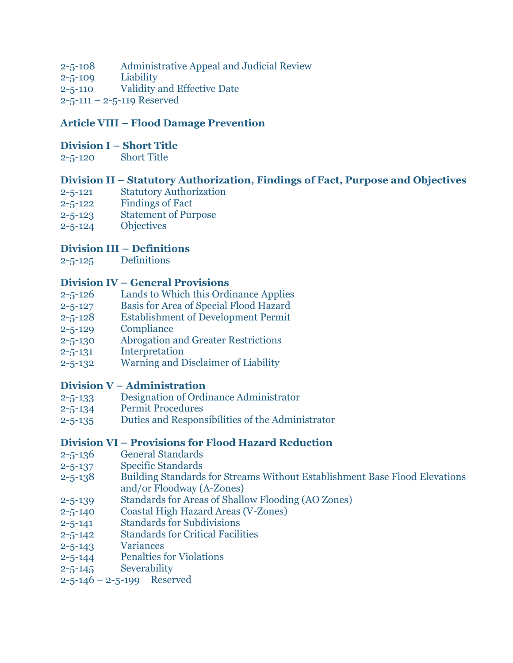- 2-5-108 [Administrative Appeal and](http://www.glynncounty.org/Archive.aspx?ADID=67) Judicial Review
- 2-5-109 [Liability](http://www.glynncounty.org/Archive.aspx?ADID=67)
- 2-5-110 [Validity and Effective Date](http://www.glynncounty.org/Archive.aspx?ADID=67)
- 2-5-111 [2-5-119 Reserved](http://www.glynncounty.org/Archive.aspx?ADID=67)

# **Article VIII – [Flood Damage Prevention](http://www.glynncounty.org/Archive.aspx?ADID=67)**

#### **Division I – [Short Title](http://www.glynncounty.org/Archive.aspx?ADID=67)**

2-5-120 [Short Title](http://www.glynncounty.org/Archive.aspx?ADID=67)

# **Division II – [Statutory Authorization, Findings of Fact, Purpose and Objectives](http://www.glynncounty.org/Archive.aspx?ADID=67)**

- 2-5-121 [Statutory Authorization](http://www.glynncounty.org/Archive.aspx?ADID=67)
- 2-5-122 [Findings of Fact](http://www.glynncounty.org/Archive.aspx?ADID=67)
- 2-5-123 [Statement of Purpose](http://www.glynncounty.org/Archive.aspx?ADID=67)
- 2-5-124 [Objectives](http://www.glynncounty.org/Archive.aspx?ADID=67)

# **[Division III](http://www.glynncounty.org/Archive.aspx?ADID=67) – Definitions**

2-5-125 [Definitions](http://www.glynncounty.org/Archive.aspx?ADID=67)

### **Division IV – [General Provisions](http://www.glynncounty.org/Archive.aspx?ADID=67)**

- 2-5-126 [Lands to Which this Ordinance Applies](http://www.glynncounty.org/Archive.aspx?ADID=67)
- 2-5-127 [Basis for Area of Special Flood Hazard](http://www.glynncounty.org/Archive.aspx?ADID=67)
- 2-5-128 [Establishment of Development Permit](http://www.glynncounty.org/Archive.aspx?ADID=67)
- 2-5-129 [Compliance](http://www.glynncounty.org/Archive.aspx?ADID=67)
- 2-5-130 [Abrogation and Greater Restrictions](http://www.glynncounty.org/Archive.aspx?ADID=67)
- 2-5-131 [Interpretation](http://www.glynncounty.org/Archive.aspx?ADID=67)
- 2-5-132 [Warning and Disclaimer of Liability](http://www.glynncounty.org/Archive.aspx?ADID=67)

# **Division V – [Administration](http://www.glynncounty.org/Archive.aspx?ADID=67)**

- 2-5-133 [Designation of Ordinance Administrator](http://www.glynncounty.org/Archive.aspx?ADID=67)
- 2-5-134 [Permit Procedures](http://www.glynncounty.org/Archive.aspx?ADID=67)
- 2-5-135 [Duties and Responsibilities of the Administrator](http://www.glynncounty.org/Archive.aspx?ADID=67)

# **Division VI – [Provisions for Flood Hazard Reduction](http://www.glynncounty.org/Archive.aspx?ADID=67)**

- 2-5-136 [General Standards](http://www.glynncounty.org/Archive.aspx?ADID=67)
- 2-5-137 [Specific Standards](http://www.glynncounty.org/Archive.aspx?ADID=67)
- 2-5-138 [Building Standards for Streams Without Establishment Base Flood Elevations](http://www.glynncounty.org/Archive.aspx?ADID=67)  [and/or Floodway \(A-Zones\)](http://www.glynncounty.org/Archive.aspx?ADID=67)
- 2-5-139 [Standards for Areas of Shallow Flooding \(AO Zones\)](http://www.glynncounty.org/Archive.aspx?ADID=67)
- 2-5-140 [Coastal High Hazard Areas \(V-Zones\)](http://www.glynncounty.org/Archive.aspx?ADID=67)
- 2-5-141 [Standards for Subdivisions](http://www.glynncounty.org/Archive.aspx?ADID=67)
- 2-5-142 Standards [for Critical Facilities](http://www.glynncounty.org/Archive.aspx?ADID=67)
- 2-5-143 [Variances](http://www.glynncounty.org/Archive.aspx?ADID=67)
- 2-5-144 [Penalties for Violations](http://www.glynncounty.org/Archive.aspx?ADID=67)
- 2-5-145 [Severability](http://www.glynncounty.org/Archive.aspx?ADID=67)
- 2-5-146 2-5-199 [Reserved](http://www.glynncounty.org/Archive.aspx?ADID=67)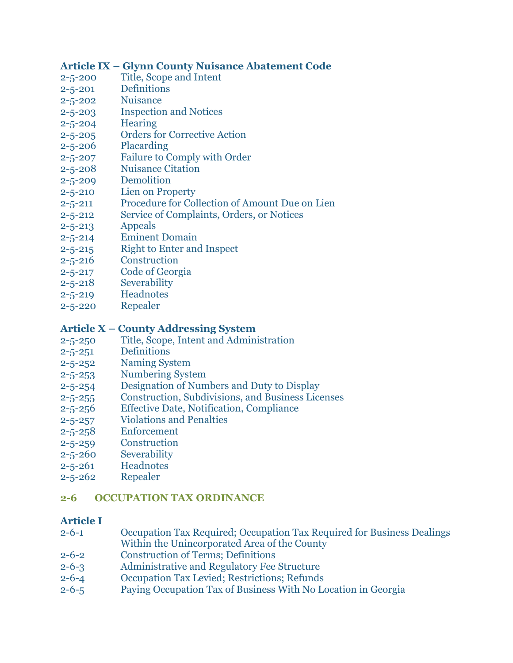### **Article IX – [Glynn County Nuisance Abatement Code](http://www.glynncounty.org/Archive.aspx?ADID=67)**

- 2-5-200 [Title, Scope and Intent](http://www.glynncounty.org/Archive.aspx?ADID=67)
- 2-5-201 [Definitions](http://www.glynncounty.org/Archive.aspx?ADID=67)
- 2-5-202 [Nuisance](http://www.glynncounty.org/Archive.aspx?ADID=67)
- 2-5-203 [Inspection and Notices](http://www.glynncounty.org/Archive.aspx?ADID=67)
- 2-5-204 [Hearing](http://www.glynncounty.org/Archive.aspx?ADID=67)
- 2-5-205 [Orders for Corrective Action](http://www.glynncounty.org/Archive.aspx?ADID=67)
- 2-5-206 [Placarding](http://www.glynncounty.org/Archive.aspx?ADID=67)
- 2-5-207 [Failure to Comply with Order](http://www.glynncounty.org/Archive.aspx?ADID=67)
- 2-5-208 [Nuisance Citation](http://www.glynncounty.org/Archive.aspx?ADID=67)
- 2-5-209 [Demolition](http://www.glynncounty.org/Archive.aspx?ADID=67)
- 2-5-210 [Lien on Property](http://www.glynncounty.org/Archive.aspx?ADID=67)
- 2-5-211 [Procedure for Collection of Amount](http://www.glynncounty.org/Archive.aspx?ADID=67) Due on Lien
- 2-5-212 [Service of Complaints, Orders, or Notices](http://www.glynncounty.org/Archive.aspx?ADID=67)
- 2-5-213 [Appeals](http://www.glynncounty.org/Archive.aspx?ADID=67)
- 2-5-214 [Eminent Domain](http://www.glynncounty.org/Archive.aspx?ADID=67)
- 2-5-215 [Right to Enter and Inspect](http://www.glynncounty.org/Archive.aspx?ADID=67)
- 2-5-216 [Construction](http://www.glynncounty.org/Archive.aspx?ADID=67)
- 2-5-217 [Code of Georgia](http://www.glynncounty.org/Archive.aspx?ADID=67)
- 2-5-218 [Severability](http://www.glynncounty.org/Archive.aspx?ADID=67)
- 2-5-219 [Headnotes](http://www.glynncounty.org/Archive.aspx?ADID=67)
- 2-5-220 [Repealer](http://www.glynncounty.org/Archive.aspx?ADID=67)

### **Article X – [County Addressing System](http://www.glynncounty.org/Archive.aspx?ADID=67)**

- 2-5-250 [Title, Scope, Intent and Administration](http://www.glynncounty.org/Archive.aspx?ADID=67)
- 2-5-251 [Definitions](http://www.glynncounty.org/Archive.aspx?ADID=67)
- 2-5-252 [Naming System](http://www.glynncounty.org/Archive.aspx?ADID=67)
- 2-5-253 [Numbering System](http://www.glynncounty.org/Archive.aspx?ADID=67)
- 2-5-254 [Designation of Numbers and Duty to Display](http://www.glynncounty.org/Archive.aspx?ADID=67)
- 2-5-255 [Construction, Subdivisions, and Business Licenses](http://www.glynncounty.org/Archive.aspx?ADID=67)
- 2-5-256 [Effective Date, Notification, Compliance](http://www.glynncounty.org/Archive.aspx?ADID=67)
- 2-5-257 [Violations and Penalties](http://www.glynncounty.org/Archive.aspx?ADID=67)
- 2-5-258 [Enforcement](http://www.glynncounty.org/Archive.aspx?ADID=67)
- 2-5-259 [Construction](http://www.glynncounty.org/Archive.aspx?ADID=67)
- 2-5-260 [Severability](http://www.glynncounty.org/Archive.aspx?ADID=67)
- 2-5-261 [Headnotes](http://www.glynncounty.org/Archive.aspx?ADID=67)
- 2-5-262 [Repealer](http://www.glynncounty.org/Archive.aspx?ADID=67)

# **[2-6 OCCUPATION TAX ORDINANCE](http://www.glynncounty.org/ArchiveCenter/ViewFile/Item/68)**

#### **[Article I](http://www.glynncounty.org/ArchiveCenter/ViewFile/Item/68)**

- 2-6-1 [Occupation Tax Required; Occupation Tax Required for Business Dealings](http://www.glynncounty.org/ArchiveCenter/ViewFile/Item/68) [Within the Unincorporated Area of the County](http://www.glynncounty.org/ArchiveCenter/ViewFile/Item/68)
- 2-6-2 [Construction of Terms; Definitions](http://www.glynncounty.org/ArchiveCenter/ViewFile/Item/68)
- 2-6-3 [Administrative and Regulatory Fee Structure](http://www.glynncounty.org/ArchiveCenter/ViewFile/Item/68)
- 2-6-4 [Occupation Tax Levied; Restrictions; Refunds](http://www.glynncounty.org/ArchiveCenter/ViewFile/Item/68)
- 2-6-5 [Paying Occupation Tax of Business With No Location in Georgia](http://www.glynncounty.org/ArchiveCenter/ViewFile/Item/68)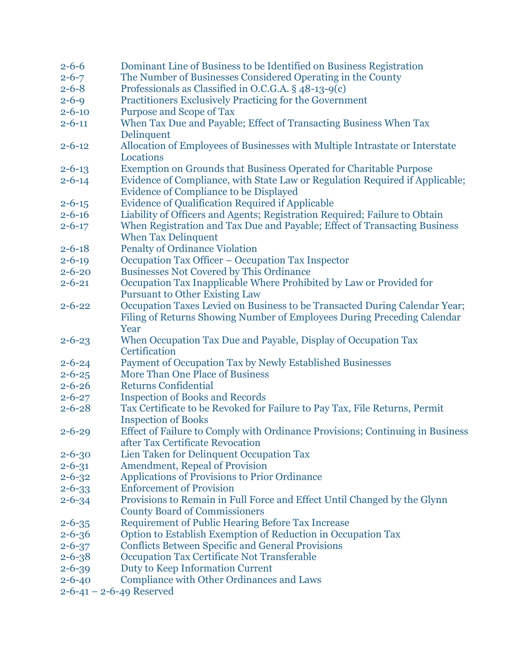| $2 - 6 - 6$  | Dominant Line of Business to be Identified on Business Registration                                                           |
|--------------|-------------------------------------------------------------------------------------------------------------------------------|
| $2 - 6 - 7$  | The Number of Businesses Considered Operating in the County                                                                   |
| $2 - 6 - 8$  | Professionals as Classified in O.C.G.A. § 48-13-9(c)                                                                          |
| $2 - 6 - 9$  | Practitioners Exclusively Practicing for the Government                                                                       |
| $2 - 6 - 10$ | <b>Purpose and Scope of Tax</b>                                                                                               |
| $2 - 6 - 11$ | When Tax Due and Payable; Effect of Transacting Business When Tax                                                             |
|              | Delinquent                                                                                                                    |
| $2 - 6 - 12$ | Allocation of Employees of Businesses with Multiple Intrastate or Interstate                                                  |
|              | Locations                                                                                                                     |
| $2 - 6 - 13$ | Exemption on Grounds that Business Operated for Charitable Purpose                                                            |
| $2 - 6 - 14$ | Evidence of Compliance, with State Law or Regulation Required if Applicable;<br><b>Evidence of Compliance to be Displayed</b> |
| $2 - 6 - 15$ | <b>Evidence of Qualification Required if Applicable</b>                                                                       |
| $2 - 6 - 16$ | Liability of Officers and Agents; Registration Required; Failure to Obtain                                                    |
| $2 - 6 - 17$ | When Registration and Tax Due and Payable; Effect of Transacting Business                                                     |
|              | <b>When Tax Delinquent</b>                                                                                                    |
| $2 - 6 - 18$ | <b>Penalty of Ordinance Violation</b>                                                                                         |
| $2 - 6 - 19$ | Occupation Tax Officer - Occupation Tax Inspector                                                                             |
| $2 - 6 - 20$ | <b>Businesses Not Covered by This Ordinance</b>                                                                               |
| $2 - 6 - 21$ | Occupation Tax Inapplicable Where Prohibited by Law or Provided for                                                           |
|              | <b>Pursuant to Other Existing Law</b>                                                                                         |
| $2 - 6 - 22$ | Occupation Taxes Levied on Business to be Transacted During Calendar Year;                                                    |
|              | Filing of Returns Showing Number of Employees During Preceding Calendar                                                       |
|              | Year                                                                                                                          |
| $2 - 6 - 23$ | When Occupation Tax Due and Payable, Display of Occupation Tax                                                                |
|              | Certification                                                                                                                 |
| $2 - 6 - 24$ | Payment of Occupation Tax by Newly Established Businesses                                                                     |
| $2 - 6 - 25$ | <b>More Than One Place of Business</b>                                                                                        |
| $2 - 6 - 26$ | <b>Returns Confidential</b>                                                                                                   |
| $2 - 6 - 27$ | <b>Inspection of Books and Records</b>                                                                                        |
| $2 - 6 - 28$ | Tax Certificate to be Revoked for Failure to Pay Tax, File Returns, Permit                                                    |
|              | <b>Inspection of Books</b>                                                                                                    |
| $2 - 6 - 29$ | Effect of Failure to Comply with Ordinance Provisions; Continuing in Business                                                 |
|              | after Tax Certificate Revocation                                                                                              |
| $2 - 6 - 30$ | Lien Taken for Delinquent Occupation Tax                                                                                      |
| $2 - 6 - 31$ | <b>Amendment, Repeal of Provision</b>                                                                                         |
| $2 - 6 - 32$ | Applications of Provisions to Prior Ordinance                                                                                 |
| $2 - 6 - 33$ | <b>Enforcement of Provision</b>                                                                                               |
| $2 - 6 - 34$ | Provisions to Remain in Full Force and Effect Until Changed by the Glynn                                                      |
|              | <b>County Board of Commissioners</b>                                                                                          |
| $2 - 6 - 35$ | <b>Requirement of Public Hearing Before Tax Increase</b>                                                                      |
| $2 - 6 - 36$ | Option to Establish Exemption of Reduction in Occupation Tax                                                                  |
| $2 - 6 - 37$ | <b>Conflicts Between Specific and General Provisions</b>                                                                      |
| $2 - 6 - 38$ | Occupation Tax Certificate Not Transferable                                                                                   |
| $2 - 6 - 39$ | Duty to Keep Information Current                                                                                              |
| $2 - 6 - 40$ | <b>Compliance with Other Ordinances and Laws</b>                                                                              |

 $2-6-41 - 2-6-49$  Reserved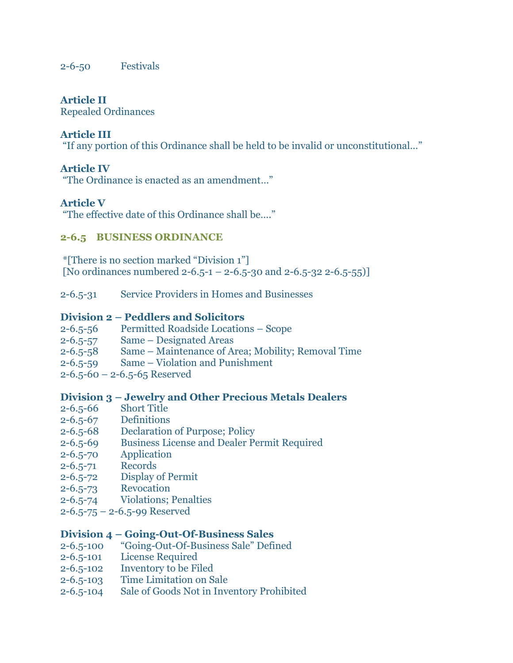2-6-50 [Festivals](http://www.glynncounty.org/ArchiveCenter/ViewFile/Item/68)

#### **[Article II](http://www.glynncounty.org/ArchiveCenter/ViewFile/Item/68)**

[Repealed Ordinances](http://www.glynncounty.org/ArchiveCenter/ViewFile/Item/68)

# **[Article III](http://www.glynncounty.org/ArchiveCenter/ViewFile/Item/68)**

["If any portion of this Ordinance shall be held to be invalid or unconstitutional…"](http://www.glynncounty.org/ArchiveCenter/ViewFile/Item/68)

### **[Article IV](http://www.glynncounty.org/ArchiveCenter/ViewFile/Item/68)**

["The Ordinance is enacted as an amendment…"](http://www.glynncounty.org/ArchiveCenter/ViewFile/Item/68)

### **[Article V](http://www.glynncounty.org/ArchiveCenter/ViewFile/Item/68)**

["The effective date of this Ordinance shall be…."](http://www.glynncounty.org/ArchiveCenter/ViewFile/Item/68)

#### **[2-6.5 BUSINESS ORDINANCE](http://www.glynncounty.org/ArchiveCenter/ViewFile/Item/68)**

[\\*\[There is no section marked "Division 1"\]](http://www.glynncounty.org/ArchiveCenter/ViewFile/Item/68) [No ordinances numbered  $2-6.5-1-2-6.5-30$  and  $2-6.5-32$  2-6.5-55]]

2-6.5-31 [Service Providers in Homes and Businesses](http://www.glynncounty.org/ArchiveCenter/ViewFile/Item/68)

### **Division 2 – [Peddlers and Solicitors](http://www.glynncounty.org/ArchiveCenter/ViewFile/Item/68)**

- 2-6.5-56 [Permitted Roadside Locations](http://www.glynncounty.org/ArchiveCenter/ViewFile/Item/68)  Scope
- 2-6.5-57 Same [Designated Areas](http://www.glynncounty.org/ArchiveCenter/ViewFile/Item/68)
- 2-6.5-58 Same [Maintenance of Area; Mobility; Removal Time](http://www.glynncounty.org/ArchiveCenter/ViewFile/Item/68)
- 2-6.5-59 Same [Violation and Punishment](http://www.glynncounty.org/ArchiveCenter/ViewFile/Item/68)
- $2-6.5-60 2-6.5-65$  Reserved

#### **Division 3 – [Jewelry and Other Precious Metals Dealers](http://www.glynncounty.org/ArchiveCenter/ViewFile/Item/68)**

- 2-6.5-66 [Short Title](http://www.glynncounty.org/ArchiveCenter/ViewFile/Item/68)
- 2-6.5-67 [Definitions](http://www.glynncounty.org/ArchiveCenter/ViewFile/Item/68)
- 2-6.5-68 [Declaration of Purpose; Policy](http://www.glynncounty.org/ArchiveCenter/ViewFile/Item/68)
- 2-6.5-69 [Business License and Dealer Permit Required](http://www.glynncounty.org/ArchiveCenter/ViewFile/Item/68)
- 2-6.5-70 [Application](http://www.glynncounty.org/ArchiveCenter/ViewFile/Item/68)
- 
- [2-6.5-71](http://www.glynncounty.org/ArchiveCenter/ViewFile/Item/68) Records<br>2-6.5-72 Display [Display of Permit](http://www.glynncounty.org/ArchiveCenter/ViewFile/Item/68)
- 2-6.5-73 [Revocation](http://www.glynncounty.org/ArchiveCenter/ViewFile/Item/68)
- 2-6.5-74 [Violations; Penalties](http://www.glynncounty.org/ArchiveCenter/ViewFile/Item/68)
- 2-6.5-75 [2-6.5-99 Reserved](http://www.glynncounty.org/ArchiveCenter/ViewFile/Item/68)

#### **Division 4 – [Going-Out-Of-Business Sales](http://www.glynncounty.org/ArchiveCenter/ViewFile/Item/68)**

- 2-6.5-100 "Going-Out-Of-[Business Sale" Defined](http://www.glynncounty.org/ArchiveCenter/ViewFile/Item/68)
- 2-6.5-101 [License Required](http://www.glynncounty.org/ArchiveCenter/ViewFile/Item/68)
- 2-6.5-102 [Inventory to be Filed](http://www.glynncounty.org/ArchiveCenter/ViewFile/Item/68)
- 2-6.5-103 [Time Limitation on Sale](http://www.glynncounty.org/ArchiveCenter/ViewFile/Item/68)
- 2-6.5-104 [Sale of Goods Not in Inventory Prohibited](http://www.glynncounty.org/ArchiveCenter/ViewFile/Item/68)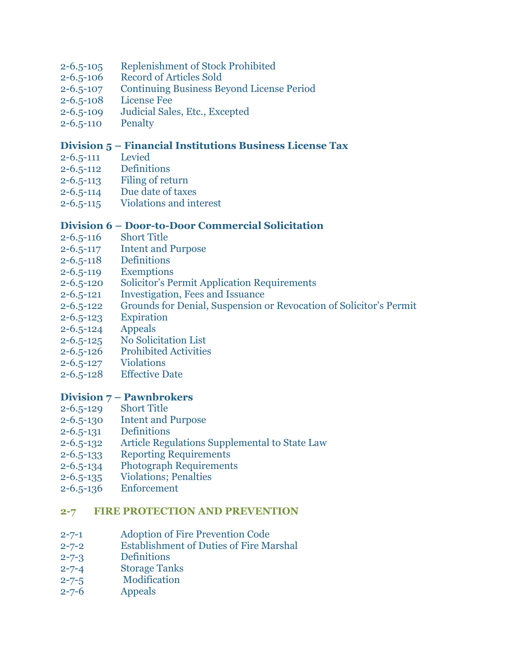- 2-6.5-105 [Replenishment of Stock Prohibited](http://www.glynncounty.org/ArchiveCenter/ViewFile/Item/68)
- 2-6.5-106 [Record of Articles Sold](http://www.glynncounty.org/ArchiveCenter/ViewFile/Item/68)
- 2-6.5-107 [Continuing Business Beyond License Period](http://www.glynncounty.org/ArchiveCenter/ViewFile/Item/68)
- 2-6.5-108 [License Fee](http://www.glynncounty.org/ArchiveCenter/ViewFile/Item/68)
- 2-6.5-109 [Judicial Sales, Etc., Excepted](http://www.glynncounty.org/ArchiveCenter/ViewFile/Item/68)
- [2-6.5-110](http://www.glynncounty.org/ArchiveCenter/ViewFile/Item/68) Penalty

#### **Division 5 – Financial Institutions Business License Tax**

- [2-6.5-111](http://www.glynncounty.org/ArchiveCenter/ViewFile/Item/68) Levied
- 2-6.5-112 [Definitions](http://www.glynncounty.org/ArchiveCenter/ViewFile/Item/68)
- 2-6.5-113 [Filing of return](http://www.glynncounty.org/ArchiveCenter/ViewFile/Item/68)
- 2-6.5-114 [Due date of taxes](http://www.glynncounty.org/ArchiveCenter/ViewFile/Item/68)
- 2-6.5-115 [Violations and interest](http://www.glynncounty.org/ArchiveCenter/ViewFile/Item/68)

#### **Division 6 – Door-to-Door Commercial Solicitation**

- 2-6.5-116 [Short Title](http://www.glynncounty.org/ArchiveCenter/ViewFile/Item/68)
- 2-6.5-117 [Intent and Purpose](http://www.glynncounty.org/ArchiveCenter/ViewFile/Item/68)
- 2-6.5-118 [Definitions](http://www.glynncounty.org/ArchiveCenter/ViewFile/Item/68)
- 2-6.5-119 [Exemptions](http://www.glynncounty.org/ArchiveCenter/ViewFile/Item/68)
- 2-6.5-120 [Solicitor's Permit Application Req](http://www.glynncounty.org/ArchiveCenter/ViewFile/Item/68)uirements
- 2-6.5-121 [Investigation, Fees and Issuance](http://www.glynncounty.org/ArchiveCenter/ViewFile/Item/68)
- 2-6.5-122 [Grounds for Denial, Suspension or Revocation of Solicitor's Permit](http://www.glynncounty.org/ArchiveCenter/ViewFile/Item/68)
- 2-6.5-123 [Expiration](http://www.glynncounty.org/ArchiveCenter/ViewFile/Item/68)
- [2-6.5-124](http://www.glynncounty.org/ArchiveCenter/ViewFile/Item/68) Appeals
- 2-6.5-125 [No Solicitation List](http://www.glynncounty.org/ArchiveCenter/ViewFile/Item/68)
- 2-6.5-126 [Prohibited Activities](http://www.glynncounty.org/ArchiveCenter/ViewFile/Item/68)
- 2-6.5-127 [Violations](http://www.glynncounty.org/ArchiveCenter/ViewFile/Item/68)
- 2-6.5-128 [Effective Date](http://www.glynncounty.org/ArchiveCenter/ViewFile/Item/68)

#### **Division 7 – [Pawnbrokers](http://www.glynncounty.org/ArchiveCenter/ViewFile/Item/68)**

- 2-6.5-129 [Short Title](http://www.glynncounty.org/ArchiveCenter/ViewFile/Item/68)
- 2-6.5-130 [Intent and Purpose](http://www.glynncounty.org/ArchiveCenter/ViewFile/Item/68)
- 2-6.5-131 [Definitions](http://www.glynncounty.org/ArchiveCenter/ViewFile/Item/68)
- 2-6.5-132 [Article Regulations Supplemental to State Law](http://www.glynncounty.org/ArchiveCenter/ViewFile/Item/68)
- 2-6.5-133 [Reporting Requirements](http://www.glynncounty.org/ArchiveCenter/ViewFile/Item/68)
- 2-6.5-134 [Photograph Requirements](http://www.glynncounty.org/ArchiveCenter/ViewFile/Item/68)
- 2-6.5-135 [Violations; Penalties](http://www.glynncounty.org/ArchiveCenter/ViewFile/Item/68)
- 2-6.5-136 [Enforcement](http://www.glynncounty.org/ArchiveCenter/ViewFile/Item/68)

#### **[2-7 FIRE PROTECTION AND PREVENTION](http://www.glynncounty.org/Archive.aspx?ADID=69)**

- 2-7-1 [Adoption of Fire Prevention Code](http://www.glynncounty.org/Archive.aspx?ADID=69)
- 2-7-2 [Establishment of Duties of Fire Marshal](http://www.glynncounty.org/Archive.aspx?ADID=69)
- 2-7-3 [Definitions](http://www.glynncounty.org/Archive.aspx?ADID=69)
- 2-7-4 [Storage Tanks](http://www.glynncounty.org/Archive.aspx?ADID=69)
- 2-7-5 [Modification](http://www.glynncounty.org/Archive.aspx?ADID=69)
- 2-7-6 [Appeals](http://www.glynncounty.org/Archive.aspx?ADID=69)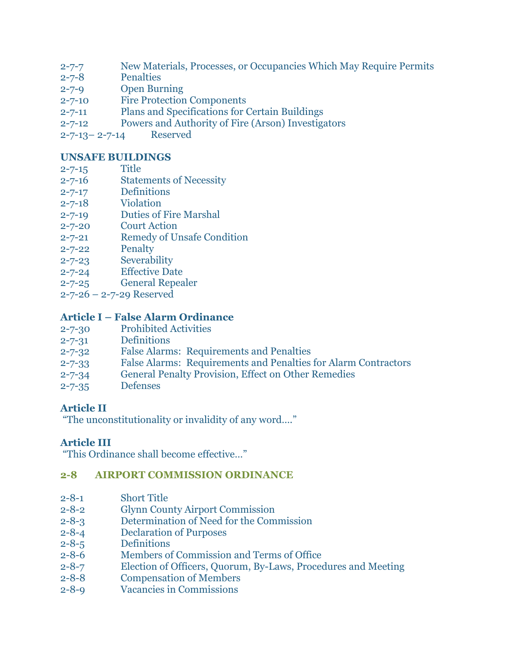- 2-7-7 [New Materials, Processes, or Occupancies Which May Require Permits](http://www.glynncounty.org/Archive.aspx?ADID=69)
- 2-7-8 [Penalties](http://www.glynncounty.org/Archive.aspx?ADID=69)
- [2-7-9 Open Burning](http://www.glynncounty.org/Archive.aspx?ADID=69)
- 2-7-10 [Fire Protection Components](http://www.glynncounty.org/Archive.aspx?ADID=69)
- 2-7-11 [Plans and Specifications for Certain Buildings](http://www.glynncounty.org/Archive.aspx?ADID=69)
- [2-7-12 Powers and Authority of Fire \(Arson\) Investigators](http://www.glynncounty.org/Archive.aspx?ADID=69)
- 2-7-13– 2-7-14 [Reserved](http://www.glynncounty.org/Archive.aspx?ADID=69)

### **[UNSAFE BUILDINGS](http://www.glynncounty.org/Archive.aspx?ADID=69)**

- [2-7-15](http://www.glynncounty.org/Archive.aspx?ADID=69) Title
- 2-7-16 [Statements of Necessity](http://www.glynncounty.org/Archive.aspx?ADID=69)
- 2-7-17 [Definitions](http://www.glynncounty.org/Archive.aspx?ADID=69)
- 2-7-18 [Violation](http://www.glynncounty.org/Archive.aspx?ADID=69)
- 2-7-19 [Duties of Fire Marshal](http://www.glynncounty.org/Archive.aspx?ADID=69)
- 2-7-20 [Court Action](http://www.glynncounty.org/Archive.aspx?ADID=69)
- 2-7-21 [Remedy of Unsafe Condition](http://www.glynncounty.org/Archive.aspx?ADID=69)
- 2-7-22 [Penalty](http://www.glynncounty.org/Archive.aspx?ADID=69)
- 2-7-23 [Severability](http://www.glynncounty.org/Archive.aspx?ADID=69)
- 2-7-24 [Effective Date](http://www.glynncounty.org/Archive.aspx?ADID=69)
- 2-7-25 [General Repealer](http://www.glynncounty.org/Archive.aspx?ADID=69)
- 2-7-26 [2-7-29 Reserved](http://www.glynncounty.org/Archive.aspx?ADID=69)

# **Article I – [False Alarm Ordinance](http://www.glynncounty.org/Archive.aspx?ADID=69)**

- 2-7-30 [Prohibited Activities](http://www.glynncounty.org/Archive.aspx?ADID=69)
- 2-7-31 [Definitions](http://www.glynncounty.org/Archive.aspx?ADID=69)
- 2-7-32 False Alarms: [Requirements and Penalties](http://www.glynncounty.org/Archive.aspx?ADID=69)
- 2-7-33 False Alarms: Requirements and [Penalties for Alarm Contractors](http://www.glynncounty.org/Archive.aspx?ADID=69)
- 2-7-34 [General Penalty Provision, Effect on](http://www.glynncounty.org/Archive.aspx?ADID=69) Other Remedies
- 2-7-35 [Defenses](http://www.glynncounty.org/Archive.aspx?ADID=69)

# **[Article II](http://www.glynncounty.org/Archive.aspx?ADID=69)**

["The unconstitutionality or invalidity of any word…."](http://www.glynncounty.org/Archive.aspx?ADID=69)

# **[Article III](http://www.glynncounty.org/Archive.aspx?ADID=69)**

["This Ordinance shall become effective…"](http://www.glynncounty.org/Archive.aspx?ADID=69)

# **[2-8 AIRPORT COMMISSION ORDINANCE](http://www.glynncounty.org/Archive.aspx?ADID=70)**

- 2-8-1 [Short Title](http://www.glynncounty.org/Archive.aspx?ADID=70)
- 2-8-2 [Glynn County Airport Commission](http://www.glynncounty.org/Archive.aspx?ADID=70)
- 2-8-3 [Determination of Need for the Commission](http://www.glynncounty.org/Archive.aspx?ADID=70)
- 2-8-4 [Declaration of Purposes](http://www.glynncounty.org/Archive.aspx?ADID=70)
- 2-8-5 [Definitions](http://www.glynncounty.org/Archive.aspx?ADID=70)
- 2-8-6 [Members of Commission and Terms of Office](http://www.glynncounty.org/Archive.aspx?ADID=70)
- 2-8-7 [Election of Officers, Quorum, By-Laws, Procedures and Meeting](http://www.glynncounty.org/Archive.aspx?ADID=70)
- 2-8-8 [Compensation](http://www.glynncounty.org/Archive.aspx?ADID=70) of Members
- 2-8-9 [Vacancies in Commissions](http://www.glynncounty.org/Archive.aspx?ADID=70)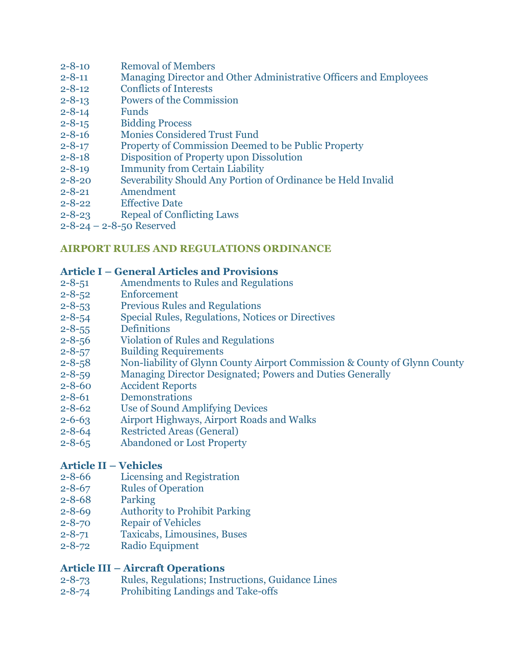- 2-8-10 [Removal of Members](http://www.glynncounty.org/Archive.aspx?ADID=70)
- 2-8-11 [Managing Director and Other Administrative Officers and Employees](http://www.glynncounty.org/Archive.aspx?ADID=70)
- 2-8-12 [Conflicts of Interests](http://www.glynncounty.org/Archive.aspx?ADID=70)
- 2-8-13 [Powers of the Commission](http://www.glynncounty.org/Archive.aspx?ADID=70)
- [2-8-14](http://www.glynncounty.org/Archive.aspx?ADID=70) Funds
- 2-8-15 [Bidding Process](http://www.glynncounty.org/Archive.aspx?ADID=70)
- 2-8-16 [Monies Considered Trust Fund](http://www.glynncounty.org/Archive.aspx?ADID=70)
- 2-8-17 [Property of Commission Deemed to be Public Property](http://www.glynncounty.org/Archive.aspx?ADID=70)
- 2-8-18 [Disposition of Property upon Dissolution](http://www.glynncounty.org/Archive.aspx?ADID=70)
- 2-8-19 [Immunity from Certain Liability](http://www.glynncounty.org/Archive.aspx?ADID=70)
- 2-8-20 [Severability Should Any Portion of Ordinance be Held Invalid](http://www.glynncounty.org/Archive.aspx?ADID=70)
- 2-8-21 [Amendment](http://www.glynncounty.org/Archive.aspx?ADID=70)
- 2-8-22 [Effective Date](http://www.glynncounty.org/Archive.aspx?ADID=70)
- 2-8-23 [Repeal of Conflicting Laws](http://www.glynncounty.org/Archive.aspx?ADID=70)
- 2-8-24 [2-8-50 Reserved](http://www.glynncounty.org/Archive.aspx?ADID=70)

### **[AIRPORT RULES AND REGULATIONS ORDINANCE](http://www.glynncounty.org/Archive.aspx?ADID=70)**

#### **Article I – [General Articles and Provisions](http://www.glynncounty.org/Archive.aspx?ADID=70)**

- 2-8-51 [Amendments to Rules and Regulations](http://www.glynncounty.org/Archive.aspx?ADID=70)
- 2-8-52 [Enforcement](http://www.glynncounty.org/Archive.aspx?ADID=70)
- 2-8-53 [Previous Rules and Regulations](http://www.glynncounty.org/Archive.aspx?ADID=70)
- 2-8-54 [Special Rules, Regulations, Notices or Directives](http://www.glynncounty.org/Archive.aspx?ADID=70)
- 2-8-55 [Definitions](http://www.glynncounty.org/Archive.aspx?ADID=70)
- 2-8-56 [Violation of Rules and Regulations](http://www.glynncounty.org/Archive.aspx?ADID=70)
- 2-8-57 [Building Requirements](http://www.glynncounty.org/Archive.aspx?ADID=70)
- 2-8-58 [Non-liability of Glynn County Airport Commission & County of Glynn County](http://www.glynncounty.org/Archive.aspx?ADID=70)
- 2-8-59 [Managing Director Designated; Powers and Duties Generally](http://www.glynncounty.org/Archive.aspx?ADID=70)
- 2-8-60 [Accident Reports](http://www.glynncounty.org/Archive.aspx?ADID=70)
- 2-8-61 [Demonstrations](http://www.glynncounty.org/Archive.aspx?ADID=70)
- 2-8-62 [Use of Sound Amplifying Devices](http://www.glynncounty.org/Archive.aspx?ADID=70)
- 2-6-63 [Airport Highways, Airport Roads and Walks](http://www.glynncounty.org/Archive.aspx?ADID=70)
- 2-8-64 [Restricted Areas \(General\)](http://www.glynncounty.org/Archive.aspx?ADID=70)
- 2-8-65 [Abandoned or](http://www.glynncounty.org/Archive.aspx?ADID=70) Lost Property

# **[Article II](http://www.glynncounty.org/Archive.aspx?ADID=70) – Vehicles**

- 2-8-66 [Licensing and Registration](http://www.glynncounty.org/Archive.aspx?ADID=70)
- 2-8-67 [Rules of Operation](http://www.glynncounty.org/Archive.aspx?ADID=70)
- 2-8-68 [Parking](http://www.glynncounty.org/Archive.aspx?ADID=70)
- 2-8-69 [Authority to Prohibit Parking](http://www.glynncounty.org/Archive.aspx?ADID=70)
- 2-8-70 [Repair of Vehicles](http://www.glynncounty.org/Archive.aspx?ADID=70)<br>2-8-71 Taxicabs, Limousin
- [Taxicabs, Limousines, Buses](http://www.glynncounty.org/Archive.aspx?ADID=70)
- 2-8-72 [Radio Equipment](http://www.glynncounty.org/Archive.aspx?ADID=70)

# **Article III – [Aircraft Operations](http://www.glynncounty.org/Archive.aspx?ADID=70)**

- 2-8-73 [Rules, Regulations; Instructions, Guidance Lines](http://www.glynncounty.org/Archive.aspx?ADID=70)
- 2-8-74 [Prohibiting Landings and Take-offs](http://www.glynncounty.org/Archive.aspx?ADID=70)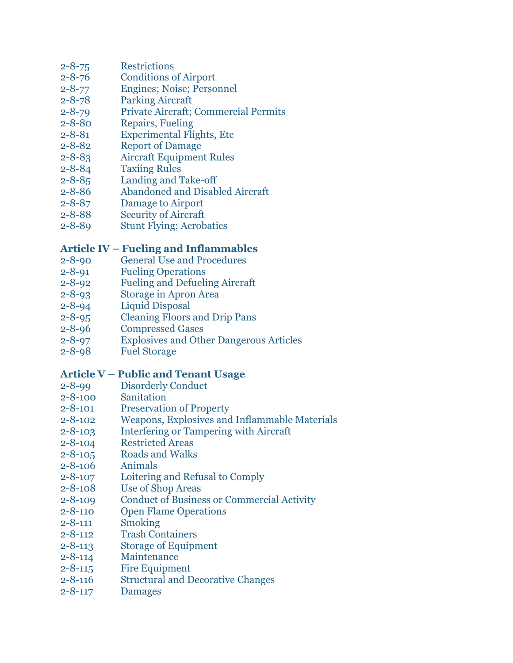# 2-8-75 [Restrictions](http://www.glynncounty.org/Archive.aspx?ADID=70)

- 2-8-76 [Conditions of Airport](http://www.glynncounty.org/Archive.aspx?ADID=70)
- 2-8-77 [Engines; Noise; Personnel](http://www.glynncounty.org/Archive.aspx?ADID=70)
- 2-8-78 [Parking Aircraft](http://www.glynncounty.org/Archive.aspx?ADID=70)
- 2-8-79 [Private Aircraft; Commercial Permits](http://www.glynncounty.org/Archive.aspx?ADID=70)
- 2-8-80 [Repairs, Fueling](http://www.glynncounty.org/Archive.aspx?ADID=70)
- 2-8-81 [Experimental Flights, Etc](http://www.glynncounty.org/Archive.aspx?ADID=70)
- 2-8-82 [Report of Damage](http://www.glynncounty.org/Archive.aspx?ADID=70)
- 2-8-83 [Aircraft Equipment Rules](http://www.glynncounty.org/Archive.aspx?ADID=70)
- 2-8-84 [Taxiing Rules](http://www.glynncounty.org/Archive.aspx?ADID=70)
- 2-8-85 [Landing and Take-off](http://www.glynncounty.org/Archive.aspx?ADID=70)
- 2-8-86 [Abandoned and Disabled Aircraft](http://www.glynncounty.org/Archive.aspx?ADID=70)
- 2-8-87 [Damage to Airport](http://www.glynncounty.org/Archive.aspx?ADID=70)
- 2-8-88 [Security of Aircraft](http://www.glynncounty.org/Archive.aspx?ADID=70)
- 2-8-89 [Stunt Flying; Acrobatics](http://www.glynncounty.org/Archive.aspx?ADID=70)

# **Article IV – [Fueling and Inflammables](http://www.glynncounty.org/Archive.aspx?ADID=70)**

- 2-8-90 [General Use and Procedures](http://www.glynncounty.org/Archive.aspx?ADID=70)
- 2-8-91 [Fueling Operations](http://www.glynncounty.org/Archive.aspx?ADID=70)
- 2-8-92 [Fueling and Defueling Aircraft](http://www.glynncounty.org/Archive.aspx?ADID=70)
- 2-8-93 [Storage in Apron Area](http://www.glynncounty.org/Archive.aspx?ADID=70)
- 2-8-94 [Liquid Disposal](http://www.glynncounty.org/Archive.aspx?ADID=70)
- 2-8-95 [Cleaning Floors and Drip Pans](http://www.glynncounty.org/Archive.aspx?ADID=70)
- 2-8-96 [Compressed Gases](http://www.glynncounty.org/Archive.aspx?ADID=70)
- 2-8-97 [Explosives and Other Dangerous Articles](http://www.glynncounty.org/Archive.aspx?ADID=70)
- 2-8-98 [Fuel Storage](http://www.glynncounty.org/Archive.aspx?ADID=70)

# **Article V – [Public and Tenant Usage](http://www.glynncounty.org/Archive.aspx?ADID=70)**

- 2-8-99 [Disorderly Conduct](http://www.glynncounty.org/Archive.aspx?ADID=70)
- 2-8-100 [Sanitation](http://www.glynncounty.org/Archive.aspx?ADID=70)
- 2-8-101 [Preservation of Property](http://www.glynncounty.org/Archive.aspx?ADID=70)
- 2-8-102 [Weapons, Explosives and Inflammable Materials](http://www.glynncounty.org/Archive.aspx?ADID=70)
- 2-8-103 [Interfering or Tampering with Aircraft](http://www.glynncounty.org/Archive.aspx?ADID=70)
- 2-8-104 [Restricted Areas](http://www.glynncounty.org/Archive.aspx?ADID=70)
- 2-8-105 [Roads and Walks](http://www.glynncounty.org/Archive.aspx?ADID=70)
- 2-8-106 [Animals](http://www.glynncounty.org/Archive.aspx?ADID=70)
- 2-8-107 [Loitering and Refusal to Comply](http://www.glynncounty.org/Archive.aspx?ADID=70)
- 2-8-108 [Use of Shop Areas](http://www.glynncounty.org/Archive.aspx?ADID=70)
- 2-8-109 [Conduct of Business or Commercial Activity](http://www.glynncounty.org/Archive.aspx?ADID=70)
- 2-8-110 [Open Flame Operations](http://www.glynncounty.org/Archive.aspx?ADID=70)
- 2-8-111 [Smoking](http://www.glynncounty.org/Archive.aspx?ADID=70)
- 2-8-112 [Trash Containers](http://www.glynncounty.org/Archive.aspx?ADID=70)
- 2-8-113 [Storage of Equipment](http://www.glynncounty.org/Archive.aspx?ADID=70)
- 2-8-114 [Maintenance](http://www.glynncounty.org/Archive.aspx?ADID=70)
- 2-8-115 [Fire Equipment](http://www.glynncounty.org/Archive.aspx?ADID=70)
- 2-8-116 [Structural and Decorative Changes](http://www.glynncounty.org/Archive.aspx?ADID=70)
- 2-8-117 [Damages](http://www.glynncounty.org/Archive.aspx?ADID=70)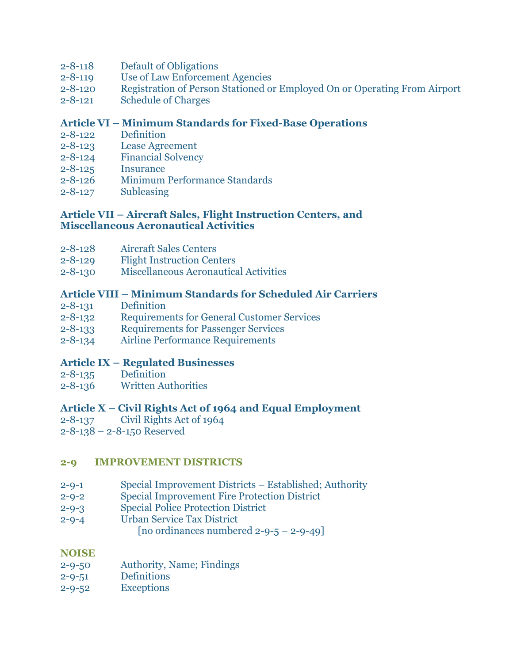- 2-8-118 [Default of Obligations](http://www.glynncounty.org/Archive.aspx?ADID=70)
- 2-8-119 [Use of Law Enforcement Agencies](http://www.glynncounty.org/Archive.aspx?ADID=70)
- 2-8-120 [Registration of Person Stationed or Employed On or Operating From Airport](http://www.glynncounty.org/Archive.aspx?ADID=70)
- 2-8-121 [Schedule of Charges](http://www.glynncounty.org/Archive.aspx?ADID=70)

### **Article VI – [Minimum Standards for Fixed-Base Operations](http://www.glynncounty.org/Archive.aspx?ADID=70)**

- 2-8-122 [Definition](http://www.glynncounty.org/Archive.aspx?ADID=70)
- 2-8-123 [Lease Agreement](http://www.glynncounty.org/Archive.aspx?ADID=70)
- 2-8-124 [Financial Solvency](http://www.glynncounty.org/Archive.aspx?ADID=70)
- 2-8-125 [Insurance](http://www.glynncounty.org/Archive.aspx?ADID=70)
- 2-8-126 [Minimum Performance Standards](http://www.glynncounty.org/Archive.aspx?ADID=70)
- 2-8-127 [Subleasing](http://www.glynncounty.org/Archive.aspx?ADID=70)

#### **Article VII – [Aircraft Sales, Flight Instruction Centers,](http://www.glynncounty.org/Archive.aspx?ADID=70) and [Miscellaneous Aeronautical](http://www.glynncounty.org/Archive.aspx?ADID=70) Activities**

- 2-8-128 [Aircraft Sales Centers](http://www.glynncounty.org/Archive.aspx?ADID=70)
- 2-8-129 [Flight Instruction Centers](http://www.glynncounty.org/Archive.aspx?ADID=70)
- 2-8-130 [Miscellaneous Aeronautical Activities](http://www.glynncounty.org/Archive.aspx?ADID=70)

### **Article VIII – [Minimum Standards for Scheduled Air Carriers](http://www.glynncounty.org/Archive.aspx?ADID=70)**

- 2-8-131 [Definition](http://www.glynncounty.org/Archive.aspx?ADID=70)
- 2-8-132 [Requirements for General Customer Services](http://www.glynncounty.org/Archive.aspx?ADID=70)
- 2-8-133 [Requirements for Passenger Services](http://www.glynncounty.org/Archive.aspx?ADID=70)
- 2-8-134 [Airline Performance Requirements](http://www.glynncounty.org/Archive.aspx?ADID=70)

#### **Article IX – [Regulated Businesses](http://www.glynncounty.org/Archive.aspx?ADID=70)**

- 2-8-135 [Definition](http://www.glynncounty.org/Archive.aspx?ADID=70)
- 2-8-136 [Written Authorities](http://www.glynncounty.org/Archive.aspx?ADID=70)

#### **Article X – [Civil Rights Act of 1964 and Equal Employment](http://www.glynncounty.org/Archive.aspx?ADID=70)**

- 2-8-137 [Civil Rights Act of 1964](http://www.glynncounty.org/Archive.aspx?ADID=70)
- 2-8-138 [2-8-150 Reserved](http://www.glynncounty.org/Archive.aspx?ADID=70)

#### **[2-9 IMPROVEMENT DISTRICTS](http://www.glynncounty.org/Archive.aspx?ADID=71)**

- 2-9-1 [Special Improvement Districts](http://www.glynncounty.org/Archive.aspx?ADID=71)  Established; Authority
- 2-9-2 [Special Improvement Fire Protection District](http://www.glynncounty.org/Archive.aspx?ADID=71)
- 2-9-3 [Special Police Protection District](http://www.glynncounty.org/Archive.aspx?ADID=71)
- 2-9-4 [Urban Service Tax District](http://www.glynncounty.org/Archive.aspx?ADID=71)

[no ordinances numbered  $2-9-5-2-9-49$ ]

#### **[NOISE](http://www.glynncounty.org/Archive.aspx?ADID=71)**

- 2-9-50 [Authority, Name; Findings](http://www.glynncounty.org/Archive.aspx?ADID=71)
- 2-9-51 [Definitions](http://www.glynncounty.org/Archive.aspx?ADID=71)
- 2-9-52 [Exceptions](http://www.glynncounty.org/Archive.aspx?ADID=71)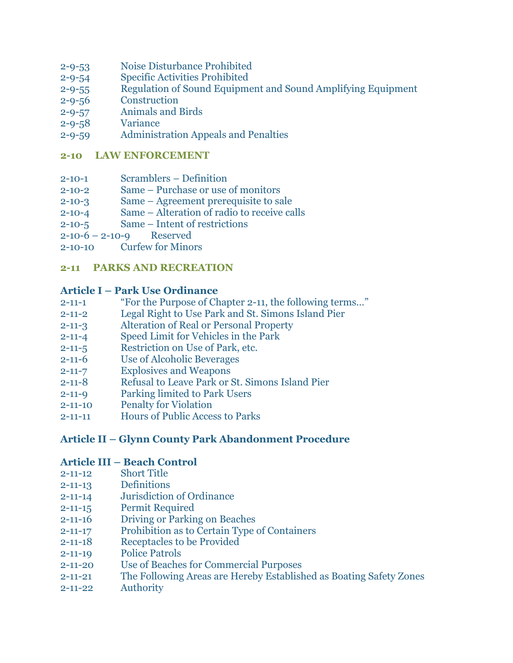- 2-9-53 [Noise Disturbance Prohibited](http://www.glynncounty.org/Archive.aspx?ADID=71)
- 2-9-54 [Specific Activities Prohibited](http://www.glynncounty.org/Archive.aspx?ADID=71)
- 2-9-55 Regulation of Sound Equipment and [Sound Amplifying Equipment](http://www.glynncounty.org/Archive.aspx?ADID=71)
- 2-9-56 [Construction](http://www.glynncounty.org/Archive.aspx?ADID=71)
- 2-9-57 [Animals and Birds](http://www.glynncounty.org/Archive.aspx?ADID=71)
- 2-9-58 [Variance](http://www.glynncounty.org/Archive.aspx?ADID=71)
- 2-9-59 [Administration Appeals and Penalties](http://www.glynncounty.org/Archive.aspx?ADID=71)

#### **[2-10 LAW ENFORCEMENT](http://www.glynncounty.org/Archive.aspx?ADID=72)**

- 2-10-1 [Scramblers](http://www.glynncounty.org/Archive.aspx?ADID=72)  Definition
- 2-10-2 Same [Purchase or use of monitors](http://www.glynncounty.org/Archive.aspx?ADID=72)
- 2-10-3 Same [Agreement prerequisite to sale](http://www.glynncounty.org/Archive.aspx?ADID=72)
- 2-10-4 Same [Alteration of radio to receive calls](http://www.glynncounty.org/Archive.aspx?ADID=72)
- 2-10-5 Same [Intent of restrictions](http://www.glynncounty.org/Archive.aspx?ADID=72)
- 2-10-6 2-10-9 [Reserved](http://www.glynncounty.org/Archive.aspx?ADID=72)
- 2-10-10 [Curfew for Minors](http://www.glynncounty.org/Archive.aspx?ADID=72)

### **[2-11 PARKS AND RECREATION](http://www.glynncounty.org/Archive.aspx?ADID=73)**

#### **Article I – [Park Use Ordinance](http://www.glynncounty.org/Archive.aspx?ADID=73)**

- 2-11-1 ["For the Purpose of Chapter 2](http://www.glynncounty.org/Archive.aspx?ADID=73)-11, the following terms…"
- 2-11-2 [Legal Right to Use Park and St. Simons Island Pier](http://www.glynncounty.org/Archive.aspx?ADID=73)
- 2-11-3 [Alteration of Real or Personal Property](http://www.glynncounty.org/Archive.aspx?ADID=73)
- 2-11-4 [Speed Limit for Vehicles in the Park](http://www.glynncounty.org/Archive.aspx?ADID=73)
- 2-11-5 [Restriction on Use of Park, etc.](http://www.glynncounty.org/Archive.aspx?ADID=73)
- 2-11-6 [Use of Alcoholic Beverages](http://www.glynncounty.org/Archive.aspx?ADID=73)
- 2-11-7 [Explosives and Weapons](http://www.glynncounty.org/Archive.aspx?ADID=73)
- 2-11-8 [Refusal to Leave Park or St. Simons](http://www.glynncounty.org/Archive.aspx?ADID=73) Island Pier
- 2-11-9 [Parking limited to Park Users](http://www.glynncounty.org/Archive.aspx?ADID=73)
- 2-11-10 [Penalty for Violation](http://www.glynncounty.org/Archive.aspx?ADID=73)
- 2-11-11 [Hours of Public Access to Parks](http://www.glynncounty.org/Archive.aspx?ADID=73)

# **Article II – [Glynn County Park Abandonment Procedure](http://www.glynncounty.org/Archive.aspx?ADID=73)**

#### **Article III – [Beach Control](http://www.glynncounty.org/Archive.aspx?ADID=73)**

- 2-11-12 [Short Title](http://www.glynncounty.org/Archive.aspx?ADID=73)
- 2-11-13 [Definitions](http://www.glynncounty.org/Archive.aspx?ADID=73)
- 2-11-14 [Jurisdiction of Ordinance](http://www.glynncounty.org/Archive.aspx?ADID=73)
- 2-11-15 [Permit Required](http://www.glynncounty.org/Archive.aspx?ADID=73)
- 2-11-16 [Driving or Parking on Beaches](http://www.glynncounty.org/Archive.aspx?ADID=73)
- 2-11-17 [Prohibition as to Certain Type of](http://www.glynncounty.org/Archive.aspx?ADID=73) Containers
- 2-11-18 [Receptacles to be Provided](http://www.glynncounty.org/Archive.aspx?ADID=73)
- 2-11-19 [Police Patrols](http://www.glynncounty.org/Archive.aspx?ADID=73)
- 2-11-20 [Use of Beaches for Commercial Purposes](http://www.glynncounty.org/Archive.aspx?ADID=73)
- 2-11-21 [The Following Areas are Hereby Established as Boating Safety Zones](http://www.glynncounty.org/Archive.aspx?ADID=73)
- 2-11-22 [Authority](http://www.glynncounty.org/Archive.aspx?ADID=73)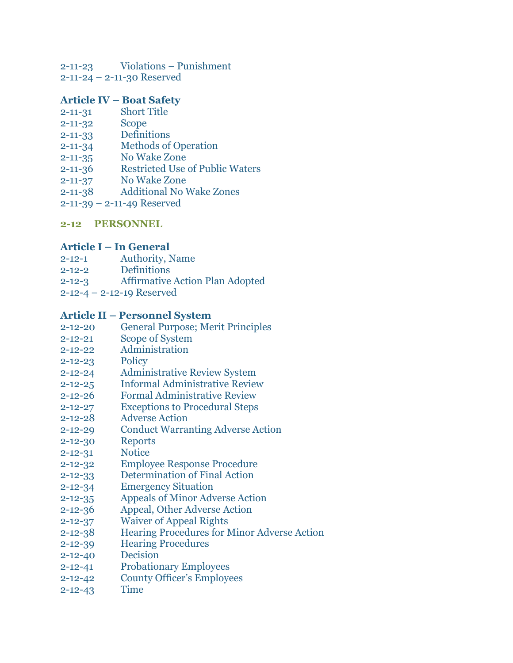- 2-11-23 Violations [Punishment](http://www.glynncounty.org/Archive.aspx?ADID=73)
- 2-11-24 [2-11-30 Reserved](http://www.glynncounty.org/Archive.aspx?ADID=73)

# **Article IV – [Boat Safety](http://www.glynncounty.org/Archive.aspx?ADID=73)**

- 2-11-31 [Short Title](http://www.glynncounty.org/Archive.aspx?ADID=73)
- [2-11-32](http://www.glynncounty.org/Archive.aspx?ADID=73) Scope
- 2-11-33 [Definitions](http://www.glynncounty.org/Archive.aspx?ADID=73)
- 2-11-34 [Methods of Operation](http://www.glynncounty.org/Archive.aspx?ADID=73)
- 2-11-35 [No Wake Zone](http://www.glynncounty.org/Archive.aspx?ADID=73)
- 2-11-36 [Restricted Use of Public Waters](http://www.glynncounty.org/Archive.aspx?ADID=73)
- 2-11-37 [No Wake Zone](http://www.glynncounty.org/Archive.aspx?ADID=73)
- 2-11-38 [Additional No Wake Zones](http://www.glynncounty.org/Archive.aspx?ADID=73)
- 2-11-39 [2-11-49 Reserved](http://www.glynncounty.org/Archive.aspx?ADID=73)

#### **[2-12 PERSONNEL](http://www.glynncounty.org/Archive.aspx?ADID=74)**

#### **Article I – [In General](http://www.glynncounty.org/Archive.aspx?ADID=74)**

- 2-12-1 [Authority, Name](http://www.glynncounty.org/Archive.aspx?ADID=74)
- 2-12-2 [Definitions](http://www.glynncounty.org/Archive.aspx?ADID=74)
- 2-12-3 [Affirmative Action Plan Adopted](http://www.glynncounty.org/Archive.aspx?ADID=74)
- 2-12-4 [2-12-19 Reserved](http://www.glynncounty.org/Archive.aspx?ADID=74)

#### **Article II – [Personnel System](http://www.glynncounty.org/Archive.aspx?ADID=74)**

- 2-12-20 [General Purpose; Merit Principles](http://www.glynncounty.org/Archive.aspx?ADID=74)
- 2-12-21 [Scope of System](http://www.glynncounty.org/Archive.aspx?ADID=74)
- 2-12-22 [Administration](http://www.glynncounty.org/Archive.aspx?ADID=74)
- [2-12-23](http://www.glynncounty.org/Archive.aspx?ADID=74) Policy
- 2-12-24 [Administrative Review System](http://www.glynncounty.org/Archive.aspx?ADID=74)
- 2-12-25 [Informal Administrative Review](http://www.glynncounty.org/Archive.aspx?ADID=74)
- 2-12-26 [Formal Administrative Review](http://www.glynncounty.org/Archive.aspx?ADID=74)
- 2-12-27 [Exceptions to Procedural Steps](http://www.glynncounty.org/Archive.aspx?ADID=74)
- 2-12-28 [Adverse Action](http://www.glynncounty.org/Archive.aspx?ADID=74)
- 2-12-29 [Conduct Warranting Adverse Action](http://www.glynncounty.org/Archive.aspx?ADID=74)
- 2-12-30 [Reports](http://www.glynncounty.org/Archive.aspx?ADID=74)
- [2-12-31](http://www.glynncounty.org/Archive.aspx?ADID=74) Notice
- 2-12-32 [Employee Response Procedure](http://www.glynncounty.org/Archive.aspx?ADID=74)
- 2-12-33 [Determination of Final Action](http://www.glynncounty.org/Archive.aspx?ADID=74)
- 2-12-34 [Emergency Situation](http://www.glynncounty.org/Archive.aspx?ADID=74)
- 2-12-35 [Appeals of Minor Adverse Action](http://www.glynncounty.org/Archive.aspx?ADID=74)
- 2-12-36 [Appeal, Other Adverse Action](http://www.glynncounty.org/Archive.aspx?ADID=74)
- 2-12-37 [Waiver of Appeal Rights](http://www.glynncounty.org/Archive.aspx?ADID=74)
- 2-12-38 [Hearing Procedures for Minor Adverse Action](http://www.glynncounty.org/Archive.aspx?ADID=74)
- 2-12-39 [Hearing Procedures](http://www.glynncounty.org/Archive.aspx?ADID=74)
- 2-12-40 [Decision](http://www.glynncounty.org/Archive.aspx?ADID=74)
- 2-12-41 [Probationary Employees](http://www.glynncounty.org/Archive.aspx?ADID=74)
- 2-12-42 [County Officer's Employees](http://www.glynncounty.org/Archive.aspx?ADID=74)
- [2-12-43](http://www.glynncounty.org/Archive.aspx?ADID=74) Time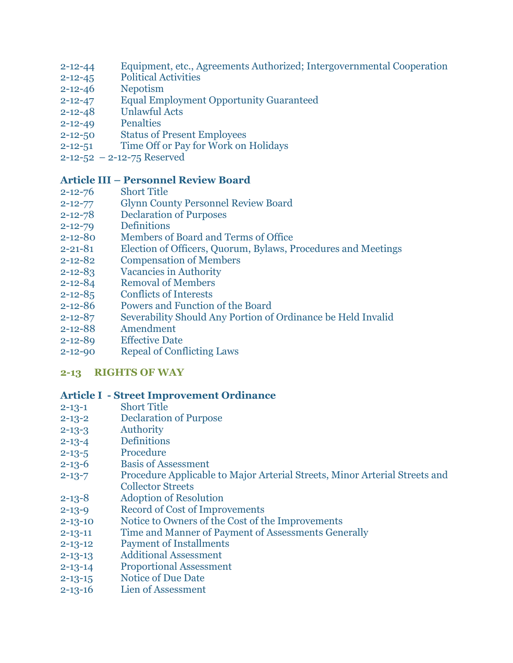- 2-12-44 [Equipment, etc., Agreements Authorized; Intergovernmental Cooperation](http://www.glynncounty.org/Archive.aspx?ADID=74)
- 2-12-45 [Political Activities](http://www.glynncounty.org/Archive.aspx?ADID=74)
- 2-12-46 [Nepotism](http://www.glynncounty.org/Archive.aspx?ADID=74)
- 2-12-47 [Equal Employment Opportunity Guaranteed](http://www.glynncounty.org/Archive.aspx?ADID=74)
- 2-12-48 [Unlawful Acts](http://www.glynncounty.org/Archive.aspx?ADID=74)
- 2-12-49 [Penalties](http://www.glynncounty.org/Archive.aspx?ADID=74)
- 2-12-50 [Status of Present Employees](http://www.glynncounty.org/Archive.aspx?ADID=74)
- 2-12-51 [Time Off or Pay for Work on Holidays](http://www.glynncounty.org/Archive.aspx?ADID=74)
- 2-12-52 [2-12-75 Reserved](http://www.glynncounty.org/Archive.aspx?ADID=74)

### **Article III – [Personnel Review Board](http://www.glynncounty.org/Archive.aspx?ADID=74)**

- 2-12-76 [Short Title](http://www.glynncounty.org/Archive.aspx?ADID=74)
- 2-12-77 [Glynn County Personnel Review Board](http://www.glynncounty.org/Archive.aspx?ADID=74)
- 2-12-78 [Declaration of Purposes](http://www.glynncounty.org/Archive.aspx?ADID=74)
- 2-12-79 [Definitions](http://www.glynncounty.org/Archive.aspx?ADID=74)
- 2-12-80 [Members of Board and Terms of Office](http://www.glynncounty.org/Archive.aspx?ADID=74)
- 2-21-81 [Election of Officers, Quorum, Bylaws, Procedures and Meetings](http://www.glynncounty.org/Archive.aspx?ADID=74)
- 2-12-82 [Compensation of Members](http://www.glynncounty.org/Archive.aspx?ADID=74)
- 2-12-83 [Vacancies in Authority](http://www.glynncounty.org/Archive.aspx?ADID=74)
- 2-12-84 [Removal of Members](http://www.glynncounty.org/Archive.aspx?ADID=74)
- 2-12-85 [Conflicts of Interests](http://www.glynncounty.org/Archive.aspx?ADID=74)
- 2-12-86 [Powers and Function of the Board](http://www.glynncounty.org/Archive.aspx?ADID=74)
- 2-12-87 [Severability Should Any Portion of Ordinance be Held Invalid](http://www.glynncounty.org/Archive.aspx?ADID=74)
- 2-12-88 [Amendment](http://www.glynncounty.org/Archive.aspx?ADID=74)
- 2-12-89 [Effective Date](http://www.glynncounty.org/Archive.aspx?ADID=74)
- 2-12-90 [Repeal of Conflicting Laws](http://www.glynncounty.org/Archive.aspx?ADID=74)

#### **[2-13 RIGHTS OF WAY](http://www.glynncounty.org/Archive.aspx?ADID=75)**

#### **Article I - [Street Improvement Ordinance](http://www.glynncounty.org/Archive.aspx?ADID=75)**

- 2-13-1 [Short Title](http://www.glynncounty.org/Archive.aspx?ADID=75)
- 2-13-2 [Declaration of Purpose](http://www.glynncounty.org/Archive.aspx?ADID=75)
- 2-13-3 [Authority](http://www.glynncounty.org/Archive.aspx?ADID=75)
- 2-13-4 [Definitions](http://www.glynncounty.org/Archive.aspx?ADID=75)
- 2-13-5 [Procedure](http://www.glynncounty.org/Archive.aspx?ADID=75)
- 2-13-6 [Basis of Assessment](http://www.glynncounty.org/Archive.aspx?ADID=75)
- 2-13-7 [Procedure Applicable to Major Arterial Streets, Minor Arterial Streets and](http://www.glynncounty.org/Archive.aspx?ADID=75) [Collector Streets](http://www.glynncounty.org/Archive.aspx?ADID=75)
- 2-13-8 [Adoption of Resolution](http://www.glynncounty.org/Archive.aspx?ADID=75)
- 2-13-9 [Record of Cost of Improvements](http://www.glynncounty.org/Archive.aspx?ADID=75)
- 2-13-10 [Notice to Owners of the Cost of the Improvements](http://www.glynncounty.org/Archive.aspx?ADID=75)
- 2-13-11 [Time and Manner of Payment of Assessments Generally](http://www.glynncounty.org/Archive.aspx?ADID=75)
- 2-13-12 [Payment of Installments](http://www.glynncounty.org/Archive.aspx?ADID=75)
- 2-13-13 [Additional Assessment](http://www.glynncounty.org/Archive.aspx?ADID=75)
- 2-13-14 [Proportional Assessment](http://www.glynncounty.org/Archive.aspx?ADID=75)
- 2-13-15 [Notice of Due Date](http://www.glynncounty.org/Archive.aspx?ADID=75)
- 2-13-16 [Lien of Assessment](http://www.glynncounty.org/Archive.aspx?ADID=75)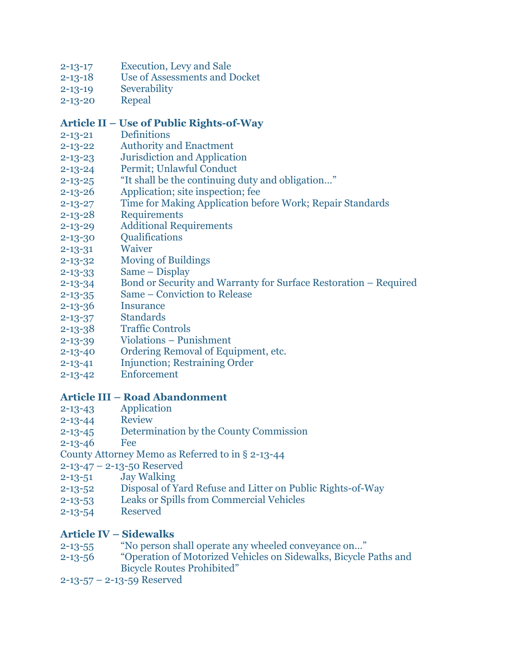- 2-13-17 [Execution, Levy and Sale](http://www.glynncounty.org/Archive.aspx?ADID=75)
- 2-13-18 [Use of Assessments and Docket](http://www.glynncounty.org/Archive.aspx?ADID=75)
- 2-13-19 [Severability](http://www.glynncounty.org/Archive.aspx?ADID=75)
- [2-13-20](http://www.glynncounty.org/Archive.aspx?ADID=75) Repeal

#### **Article II – [Use of Public Rights-of-Way](http://www.glynncounty.org/Archive.aspx?ADID=75)**

- 2-13-21 [Definitions](http://www.glynncounty.org/Archive.aspx?ADID=75)
- 2-13-22 [Authority and Enactment](http://www.glynncounty.org/Archive.aspx?ADID=75)
- 2-13-23 [Jurisdiction and Application](http://www.glynncounty.org/Archive.aspx?ADID=75)
- 2-13-24 [Permit; Unlawful Conduct](http://www.glynncounty.org/Archive.aspx?ADID=75)
- 2-13-25 ["It shall be the continuing duty and obligation…"](http://www.glynncounty.org/Archive.aspx?ADID=75)
- 2-13-26 [Application; site inspection; fee](http://www.glynncounty.org/Archive.aspx?ADID=75)
- 2-13-27 [Time for Making Application before Work; Repair Standards](http://www.glynncounty.org/Archive.aspx?ADID=75)
- 2-13-28 [Requirements](http://www.glynncounty.org/Archive.aspx?ADID=75)
- 2-13-29 [Additional Requirements](http://www.glynncounty.org/Archive.aspx?ADID=75)
- 2-13-30 [Qualifications](http://www.glynncounty.org/Archive.aspx?ADID=75)
- [2-13-31](http://www.glynncounty.org/Archive.aspx?ADID=75) Waiver
- 2-13-32 [Moving of Buildings](http://www.glynncounty.org/Archive.aspx?ADID=75)
- [2-13-33](http://www.glynncounty.org/Archive.aspx?ADID=75) Same Display
- 2-13-34 [Bond or Security and Warranty for](http://www.glynncounty.org/Archive.aspx?ADID=75) Surface Restoration Required
- 2-13-35 Same [Conviction to Release](http://www.glynncounty.org/Archive.aspx?ADID=75)
- 2-13-36 [Insurance](http://www.glynncounty.org/Archive.aspx?ADID=75)
- 2-13-37 [Standards](http://www.glynncounty.org/Archive.aspx?ADID=75)
- 2-13-38 [Traffic Controls](http://www.glynncounty.org/Archive.aspx?ADID=75)
- 2-13-39 Violations [Punishment](http://www.glynncounty.org/Archive.aspx?ADID=75)
- 2-13-40 [Ordering Removal of Equipment, etc.](http://www.glynncounty.org/Archive.aspx?ADID=75)
- 2-13-41 [Injunction; Restraining Order](http://www.glynncounty.org/Archive.aspx?ADID=75)
- 2-13-42 [Enforcement](http://www.glynncounty.org/Archive.aspx?ADID=75)

#### **Article III – [Road Abandonment](http://www.glynncounty.org/Archive.aspx?ADID=75)**

- 2-13-43 [Application](http://www.glynncounty.org/Archive.aspx?ADID=75)
- [2-13-44](http://www.glynncounty.org/Archive.aspx?ADID=75) Review
- 2-13-45 [Determination by the County Commission](http://www.glynncounty.org/Archive.aspx?ADID=75)
- [2-13-46](http://www.glynncounty.org/Archive.aspx?ADID=75) Fee
- [County Attorney Memo as Referred to in § 2-13-44](http://www.glynncounty.org/Archive.aspx?ADID=75)
- 2-13-47 [2-13-50 Reserved](http://www.glynncounty.org/Archive.aspx?ADID=75)
- 2-13-51 [Jay Walking](http://www.glynncounty.org/Archive.aspx?ADID=75)
- 2-13-52 [Disposal of Yard Refuse and Litter on Public Rights-of-Way](http://www.glynncounty.org/Archive.aspx?ADID=75)
- 2-13-53 [Leaks or Spills from Commercial Vehicles](http://www.glynncounty.org/Archive.aspx?ADID=75)
- 2-13-54 [Reserved](http://www.glynncounty.org/Archive.aspx?ADID=75)

#### **Article IV – [Sidewalks](http://www.glynncounty.org/Archive.aspx?ADID=75)**

- 2-13-55 ["No person shall operate any wheeled conveyance on…"](http://www.glynncounty.org/Archive.aspx?ADID=75)
- 2-13-56 "[Operation of Motorized Vehicles on Sidewalks, Bicycle Paths and](http://www.glynncounty.org/Archive.aspx?ADID=75)  [Bicycle Routes Prohibited](http://www.glynncounty.org/Archive.aspx?ADID=75)"
- 2-13-57 [2-13-59 Reserved](http://www.glynncounty.org/Archive.aspx?ADID=75)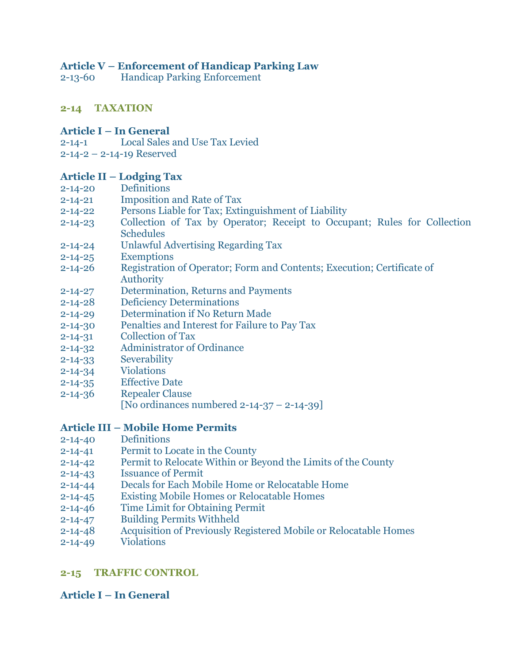#### **Article V – [Enforcement of Handicap Parking Law](http://www.glynncounty.org/Archive.aspx?ADID=75)**

2-13-60 [Handicap Parking Enforcement](http://www.glynncounty.org/Archive.aspx?ADID=75)

# **[2-14 TAXATION](http://www.glynncounty.org/Archive.aspx?ADID=76)**

### **Article I – [In General](http://www.glynncounty.org/Archive.aspx?ADID=76)**

- [2-14-1 Local Sales and Use Tax Levied](http://www.glynncounty.org/Archive.aspx?ADID=76)
- 2-14-2 [2-14-19 Reserved](http://www.glynncounty.org/Archive.aspx?ADID=76)

### **Article II – [Lodging Tax](http://www.glynncounty.org/Archive.aspx?ADID=76)**

- 2-14-20 [Definitions](http://www.glynncounty.org/Archive.aspx?ADID=76)
- 2-14-21 [Imposition and Rate of Tax](http://www.glynncounty.org/Archive.aspx?ADID=76)
- 2-14-22 [Persons Liable for Tax; Extinguishment of Liability](http://www.glynncounty.org/Archive.aspx?ADID=76)
- 2-14-23 [Collection of Tax by Operator; Receipt to Occupant; Rules for Collection](http://www.glynncounty.org/Archive.aspx?ADID=76)  [Schedules](http://www.glynncounty.org/Archive.aspx?ADID=76)
- 2-14-24 [Unlawful Advertising Regarding Tax](http://www.glynncounty.org/Archive.aspx?ADID=76)
- 2-14-25 [Exemptions](http://www.glynncounty.org/Archive.aspx?ADID=76)
- 2-14-26 [Registration of Operator; Form and Contents; Execution; Certificate of](http://www.glynncounty.org/Archive.aspx?ADID=76)  [Authority](http://www.glynncounty.org/Archive.aspx?ADID=76)
- 2-14-27 [Determination, Returns and Payments](http://www.glynncounty.org/Archive.aspx?ADID=76)
- 2-14-28 [Deficiency Determinations](http://www.glynncounty.org/Archive.aspx?ADID=76)
- 2-14-29 [Determination if No Return Made](http://www.glynncounty.org/Archive.aspx?ADID=76)
- 2-14-30 [Penalties and Interest for Failure to Pay](http://www.glynncounty.org/Archive.aspx?ADID=76) Tax
- 2-14-31 [Collection of Tax](http://www.glynncounty.org/Archive.aspx?ADID=76)
- 2-14-32 [Administrator of Ordinance](http://www.glynncounty.org/Archive.aspx?ADID=76)
- 2-14-33 [Severability](http://www.glynncounty.org/Archive.aspx?ADID=76)
- 2-14-34 [Violations](http://www.glynncounty.org/Archive.aspx?ADID=76)
- 2-14-35 [Effective Date](http://www.glynncounty.org/Archive.aspx?ADID=76)
- 2-14-36 [Repealer Clause](http://www.glynncounty.org/Archive.aspx?ADID=76)
	- [\[No ordinances numbered 2-14-37](http://www.glynncounty.org/Archive.aspx?ADID=76)  2-14-39]

# **Article III – [Mobile Home Permits](http://www.glynncounty.org/Archive.aspx?ADID=76)**

- 2-14-40 [Definitions](http://www.glynncounty.org/Archive.aspx?ADID=76)
- 2-14-41 [Permit to Locate in the County](http://www.glynncounty.org/Archive.aspx?ADID=76)
- 2-14-42 [Permit to Relocate Within or Beyond the Limits of the County](http://www.glynncounty.org/Archive.aspx?ADID=76)
- 2-14-43 [Issuance of Permit](http://www.glynncounty.org/Archive.aspx?ADID=76)
- 2-14-44 [Decals for Each Mobile Home or Relocatable Home](http://www.glynncounty.org/Archive.aspx?ADID=76)
- 2-14-45 [Existing Mobile Homes or Relocatable Homes](http://www.glynncounty.org/Archive.aspx?ADID=76)
- 2-14-46 [Time Limit for Obtaining Permit](http://www.glynncounty.org/Archive.aspx?ADID=76)
- 2-14-47 [Building Permits Withheld](http://www.glynncounty.org/Archive.aspx?ADID=76)
- 2-14-48 [Acquisition of Previously Registered Mobile or Relocatable Homes](http://www.glynncounty.org/Archive.aspx?ADID=76)
- 2-14-49 [Violations](http://www.glynncounty.org/Archive.aspx?ADID=76)

# **[2-15 TRAFFIC CONTROL](http://www.glynncounty.org/Archive.aspx?ADID=77)**

# **Article I – [In General](http://www.glynncounty.org/Archive.aspx?ADID=77)**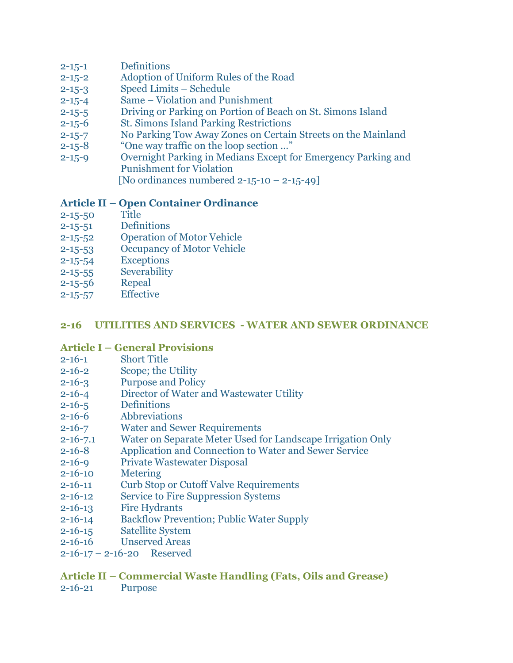- 2-15-1 [Definitions](http://www.glynncounty.org/Archive.aspx?ADID=77)
- 2-15-2 [Adoption of Uniform Rules of the Road](http://www.glynncounty.org/Archive.aspx?ADID=77)
- 2-15-3 [Speed Limits](http://www.glynncounty.org/Archive.aspx?ADID=77)  Schedule
- 2-15-4 Same [Violation and Punishment](http://www.glynncounty.org/Archive.aspx?ADID=77)
- 2-15-5 [Driving or Parking on Portion of Beach on St. Simons Island](http://www.glynncounty.org/Archive.aspx?ADID=77)
- 2-15-6 [St. Simons Island Parking Restrictions](http://www.glynncounty.org/Archive.aspx?ADID=77)
- 2-15-7 [No Parking Tow Away Zones on Certain Streets on the Mainland](http://www.glynncounty.org/Archive.aspx?ADID=77)
- 2-15-8 ["One way traffic on the loop section …"](http://www.glynncounty.org/Archive.aspx?ADID=77)
- 2-15-9 [Overnight Parking in Medians Except for Emergency Parking and](http://www.glynncounty.org/Archive.aspx?ADID=77) [Punishment for Violation](http://www.glynncounty.org/Archive.aspx?ADID=77)

[No ordinances numbered  $2-15-10-2-15-49$ ]

# **Article II – [Open Container Ordinance](http://www.glynncounty.org/Archive.aspx?ADID=77)**

- [2-15-50](http://www.glynncounty.org/Archive.aspx?ADID=77) Title
- 2-15-51 [Definitions](http://www.glynncounty.org/Archive.aspx?ADID=77)
- 2-15-52 [Operation of Motor Vehicle](http://www.glynncounty.org/Archive.aspx?ADID=77)
- 2-15-53 [Occupancy of Motor Vehicle](http://www.glynncounty.org/Archive.aspx?ADID=77)
- 2-15-54 [Exceptions](http://www.glynncounty.org/Archive.aspx?ADID=77)
- 2-15-55 [Severability](http://www.glynncounty.org/Archive.aspx?ADID=77)
- [2-15-56](http://www.glynncounty.org/Archive.aspx?ADID=77) Repeal
- 2-15-57 [Effective](http://www.glynncounty.org/Archive.aspx?ADID=77)

# **[2-16 UTILITIES AND SERVICES -](http://www.glynncounty.org/Archive.aspx?ADID=78) WATER AND SEWER ORDINANCE**

#### **Article I – [General Provisions](http://www.glynncounty.org/Archive.aspx?ADID=78)**

- 2-16-1 [Short Title](http://www.glynncounty.org/Archive.aspx?ADID=78)
- 2-16-2 [Scope; the Utility](http://www.glynncounty.org/Archive.aspx?ADID=78)
- 2-16-3 [Purpose and Policy](http://www.glynncounty.org/Archive.aspx?ADID=78)
- 2-16-4 [Director of Water and Wastewater Utility](http://www.glynncounty.org/Archive.aspx?ADID=78)
- 2-16-5 [Definitions](http://www.glynncounty.org/Archive.aspx?ADID=78)
- 2-16-6 [Abbreviations](http://www.glynncounty.org/Archive.aspx?ADID=78)
- 2-16-7 [Water and Sewer Requirements](http://www.glynncounty.org/Archive.aspx?ADID=78)
- 2-16-7.1 [Water on Separate Meter Used for Landscape Irrigation Only](http://www.glynncounty.org/Archive.aspx?ADID=78)
- 2-16-8 [Application and Connection to Water and Sewer Service](http://www.glynncounty.org/Archive.aspx?ADID=78)
- 2-16-9 [Private Wastewater Disposal](http://www.glynncounty.org/Archive.aspx?ADID=78)
- 2-16-10 [Metering](http://www.glynncounty.org/Archive.aspx?ADID=78)
- 2-16-11 [Curb Stop or Cutoff Valve Requirements](http://www.glynncounty.org/Archive.aspx?ADID=78)
- 2-16-12 [Service to Fire Suppression Systems](http://www.glynncounty.org/Archive.aspx?ADID=78)
- 2-16-13 [Fire Hydrants](http://www.glynncounty.org/Archive.aspx?ADID=78)
- 2-16-14 [Backflow Prevention; Public Water Supply](http://www.glynncounty.org/Archive.aspx?ADID=78)
- 2-16-15 [Satellite System](http://www.glynncounty.org/Archive.aspx?ADID=78)
- 2-16-16 [Unserved Areas](http://www.glynncounty.org/Archive.aspx?ADID=78)
- 2-16-17 2-16-20 [Reserved](http://www.glynncounty.org/Archive.aspx?ADID=78)

# **Article II – [Commercial Waste Handling \(Fats, Oils and Grease\)](http://www.glynncounty.org/Archive.aspx?ADID=78)**

2-16-21 [Purpose](http://www.glynncounty.org/Archive.aspx?ADID=78)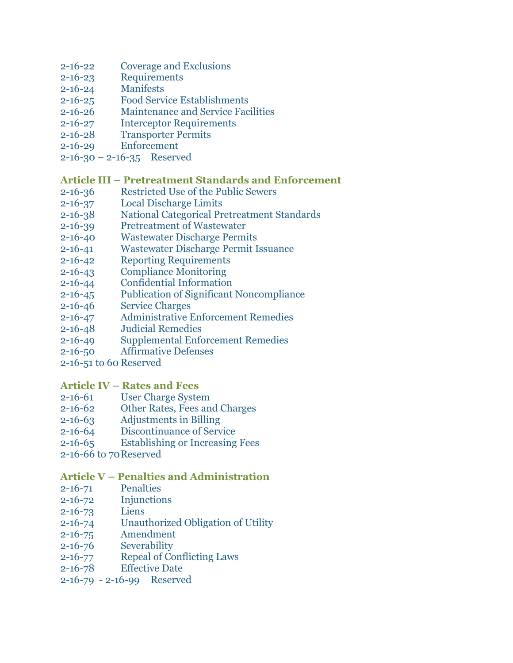- 2-16-22 [Coverage and Exclusions](http://www.glynncounty.org/Archive.aspx?ADID=78)
- 2-16-23 [Requirements](http://www.glynncounty.org/Archive.aspx?ADID=78)
- 2-16-24 [Manifests](http://www.glynncounty.org/Archive.aspx?ADID=78)
- 2-16-25 [Food Service Establishments](http://www.glynncounty.org/Archive.aspx?ADID=78)
- 2-16-26 [Maintenance and Service Facilities](http://www.glynncounty.org/Archive.aspx?ADID=78)
- 2-16-27 [Interceptor Requirements](http://www.glynncounty.org/Archive.aspx?ADID=78)
- 2-16-28 [Transporter Permits](http://www.glynncounty.org/Archive.aspx?ADID=78)
- 2-16-29 [Enforcement](http://www.glynncounty.org/Archive.aspx?ADID=78)
- $2-16-30 2-16-35$  [Reserved](http://www.glynncounty.org/Archive.aspx?ADID=78)

### **Article III – [Pretreatment Standards and Enforcement](http://www.glynncounty.org/Archive.aspx?ADID=78)**

- 2-16-36 [Restricted Use of the Public Sewers](http://www.glynncounty.org/Archive.aspx?ADID=78)
- 2-16-37 [Local Discharge Limits](http://www.glynncounty.org/Archive.aspx?ADID=78)
- 2-16-38 [National Categorical Pretreatment Standards](http://www.glynncounty.org/Archive.aspx?ADID=78)
- 2-16-39 [Pretreatment of Wastewater](http://www.glynncounty.org/Archive.aspx?ADID=78)
- 2-16-40 [Wastewater Discharge Permits](http://www.glynncounty.org/Archive.aspx?ADID=78)
- 2-16-41 Wastewater [Discharge Permit Issuance](http://www.glynncounty.org/Archive.aspx?ADID=78)
- 2-16-42 [Reporting Requirements](http://www.glynncounty.org/Archive.aspx?ADID=78)
- 2-16-43 [Compliance Monitoring](http://www.glynncounty.org/Archive.aspx?ADID=78)
- 2-16-44 [Confidential Information](http://www.glynncounty.org/Archive.aspx?ADID=78)
- 2-16-45 [Publication of Significant Noncompliance](http://www.glynncounty.org/Archive.aspx?ADID=78)
- 2-16-46 [Service Charges](http://www.glynncounty.org/Archive.aspx?ADID=78)
- 2-16-47 [Administrative Enforcement Remedies](http://www.glynncounty.org/Archive.aspx?ADID=78)
- 2-16-48 [Judicial Remedies](http://www.glynncounty.org/Archive.aspx?ADID=78)
- 2-16-49 [Supplemental Enforcement Remedies](http://www.glynncounty.org/Archive.aspx?ADID=78)
- 2-16-50 [Affirmative Defenses](http://www.glynncounty.org/Archive.aspx?ADID=78)
- [2-16-51 to 60](http://www.glynncounty.org/Archive.aspx?ADID=78) Reserved

#### **Article IV – [Rates and Fees](http://www.glynncounty.org/Archive.aspx?ADID=78)**

- 2-16-61 [User Charge System](http://www.glynncounty.org/Archive.aspx?ADID=78)
- 2-16-62 [Other Rates, Fees and Charges](http://www.glynncounty.org/Archive.aspx?ADID=78)
- 2-16-63 [Adjustments in Billing](http://www.glynncounty.org/Archive.aspx?ADID=78)
- 2-16-64 [Discontinuance of Service](http://www.glynncounty.org/Archive.aspx?ADID=78)
- 2-16-65 [Establishing or Increasing Fees](http://www.glynncounty.org/Archive.aspx?ADID=78)
- [2-16-66 to 70Reserved](http://www.glynncounty.org/Archive.aspx?ADID=78)

# **Article V – [Penalties and Administration](http://www.glynncounty.org/Archive.aspx?ADID=78)**

- 2-16-71 [Penalties](http://www.glynncounty.org/Archive.aspx?ADID=78)
- 2-16-72 [Injunctions](http://www.glynncounty.org/Archive.aspx?ADID=78)
- [2-16-73](http://www.glynncounty.org/Archive.aspx?ADID=78) Liens
- 2-16-74 [Unauthorized Obligation of Utility](http://www.glynncounty.org/Archive.aspx?ADID=78)
- 2-16-75 [Amendment](http://www.glynncounty.org/Archive.aspx?ADID=78)
- 2-16-76 [Severability](http://www.glynncounty.org/Archive.aspx?ADID=78)
- 2-16-77 [Repeal of Conflicting Laws](http://www.glynncounty.org/Archive.aspx?ADID=78)
- 2-16-78 [Effective Date](http://www.glynncounty.org/Archive.aspx?ADID=78)
- [2-16-79 -](http://www.glynncounty.org/Archive.aspx?ADID=78) 2-16-99 Reserved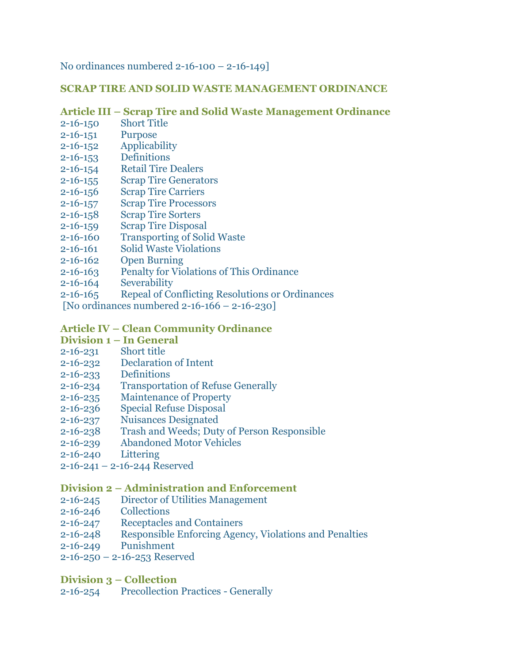[No ordinances numbered 2-16-100](http://www.glynncounty.org/Archive.aspx?ADID=78) – 2-16-149]

#### **[SCRAP TIRE AND SOLID WASTE MANAGEMENT ORDINANCE](http://www.glynncounty.org/Archive.aspx?ADID=78)**

#### **Article III – [Scrap Tire and Solid Waste Management Ordinance](http://www.glynncounty.org/Archive.aspx?ADID=78)**

- 2-16-150 [Short Title](http://www.glynncounty.org/Archive.aspx?ADID=78)
- [2-16-151](http://www.glynncounty.org/Archive.aspx?ADID=78) Purpose
- 2-16-152 [Applicability](http://www.glynncounty.org/Archive.aspx?ADID=78)
- 2-16-153 [Definitions](http://www.glynncounty.org/Archive.aspx?ADID=78)
- 2-16-154 [Retail Tire Dealers](http://www.glynncounty.org/Archive.aspx?ADID=78)
- 2-16-155 [Scrap Tire Generators](http://www.glynncounty.org/Archive.aspx?ADID=78)
- 2-16-156 [Scrap Tire Carriers](http://www.glynncounty.org/Archive.aspx?ADID=78)
- 2-16-157 [Scrap Tire Processors](http://www.glynncounty.org/Archive.aspx?ADID=78)
- 2-16-158 [Scrap Tire Sorters](http://www.glynncounty.org/Archive.aspx?ADID=78)
- 2-16-159 [Scrap Tire Disposal](http://www.glynncounty.org/Archive.aspx?ADID=78)
- 2-16-160 [Transporting of Solid Waste](http://www.glynncounty.org/Archive.aspx?ADID=78)
- 2-16-161 [Solid Waste Violations](http://www.glynncounty.org/Archive.aspx?ADID=78)
- 2-16-162 [Open Burning](http://www.glynncounty.org/Archive.aspx?ADID=78)
- 2-16-163 [Penalty for Violations of This Ordinance](http://www.glynncounty.org/Archive.aspx?ADID=78)
- 2-16-164 [Severability](http://www.glynncounty.org/Archive.aspx?ADID=78)
- 2-16-165 [Repeal of Conflicting Resolutions or](http://www.glynncounty.org/Archive.aspx?ADID=78) Ordinances
- [\[No ordinances numbered 2-16-166](http://www.glynncounty.org/Archive.aspx?ADID=78)  2-16-230]

# **Article IV – [Clean Community](http://www.glynncounty.org/Archive.aspx?ADID=78) Ordinance**

- **Division 1 – [In General](http://www.glynncounty.org/Archive.aspx?ADID=78)**
- 2-16-231 [Short title](http://www.glynncounty.org/Archive.aspx?ADID=78)
- 2-16-232 [Declaration of Intent](http://www.glynncounty.org/Archive.aspx?ADID=78)
- 2-16-233 [Definitions](http://www.glynncounty.org/Archive.aspx?ADID=78)
- 2-16-234 [Transportation of Refuse Generally](http://www.glynncounty.org/Archive.aspx?ADID=78)
- 2-16-235 [Maintenance of Property](http://www.glynncounty.org/Archive.aspx?ADID=78)
- 2-16-236 [Special Refuse Disposal](http://www.glynncounty.org/Archive.aspx?ADID=78)
- 2-16-237 [Nuisances Designated](http://www.glynncounty.org/Archive.aspx?ADID=78)
- 2-16-238 [Trash and Weeds; Duty of Person Responsible](http://www.glynncounty.org/Archive.aspx?ADID=78)
- 2-16-239 [Abandoned Motor Vehicles](http://www.glynncounty.org/Archive.aspx?ADID=78)
- [2-16-240](http://www.glynncounty.org/Archive.aspx?ADID=78) Littering
- 2-16-241 [2-16-244 Reserved](http://www.glynncounty.org/Archive.aspx?ADID=78)

#### **Division 2 – [Administration and Enforcement](http://www.glynncounty.org/Archive.aspx?ADID=78)**

- 2-16-245 [Director of Utilities Management](http://www.glynncounty.org/Archive.aspx?ADID=78)
- 2-16-246 [Collections](http://www.glynncounty.org/Archive.aspx?ADID=78)
- 2-16-247 [Receptacles and Containers](http://www.glynncounty.org/Archive.aspx?ADID=78)
- 2-16-248 [Responsible Enforcing Agency, Violations and Penalties](http://www.glynncounty.org/Archive.aspx?ADID=78)
- 2-16-249 [Punishment](http://www.glynncounty.org/Archive.aspx?ADID=78)
- 2-16-250 [2-16-253 Reserved](http://www.glynncounty.org/Archive.aspx?ADID=78)

#### **[Division 3](http://www.glynncounty.org/Archive.aspx?ADID=78) – Collection**

[2-16-254 Precollection Practices](http://www.glynncounty.org/Archive.aspx?ADID=78) - Generally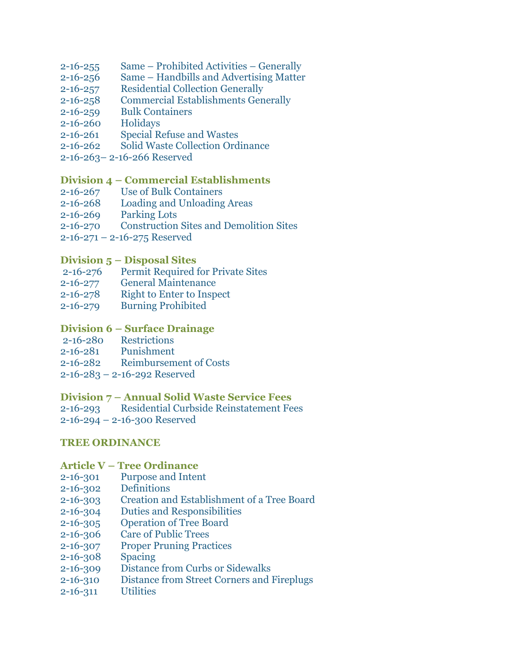- 2-16-255 Same [Prohibited Activities](http://www.glynncounty.org/Archive.aspx?ADID=78)  Generally
- 2-16-256 Same [Handbills and Advertising Matter](http://www.glynncounty.org/Archive.aspx?ADID=78)
- 2-16-257 [Residential Collection Generally](http://www.glynncounty.org/Archive.aspx?ADID=78)
- 2-16-258 [Commercial Establishments Generally](http://www.glynncounty.org/Archive.aspx?ADID=78)
- 2-16-259 [Bulk Containers](http://www.glynncounty.org/Archive.aspx?ADID=78)
- [2-16-260](http://www.glynncounty.org/Archive.aspx?ADID=78) Holidays
- 2-16-261 [Special Refuse and Wastes](http://www.glynncounty.org/Archive.aspx?ADID=78)
- 2-16-262 [Solid Waste Collection Ordinance](http://www.glynncounty.org/Archive.aspx?ADID=78)
- 2-16-263– [2-16-266 Reserved](http://www.glynncounty.org/Archive.aspx?ADID=78)

#### **Division 4 – [Commercial Establishments](http://www.glynncounty.org/Archive.aspx?ADID=78)**

- 2-16-267 [Use of Bulk Containers](http://www.glynncounty.org/Archive.aspx?ADID=78)
- 2-16-268 [Loading and Unloading Areas](http://www.glynncounty.org/Archive.aspx?ADID=78)
- 2-16-269 [Parking Lots](http://www.glynncounty.org/Archive.aspx?ADID=78)
- 2-16-270 [Construction Sites and Demolition Sites](http://www.glynncounty.org/Archive.aspx?ADID=78)
- 2-16-271 [2-16-275 Reserved](http://www.glynncounty.org/Archive.aspx?ADID=78)

#### **Division 5 – [Disposal Sites](http://www.glynncounty.org/Archive.aspx?ADID=78)**

- 2-16-276 [Permit Required for Private Sites](http://www.glynncounty.org/Archive.aspx?ADID=78)
- 2-16-277 [General Maintenance](http://www.glynncounty.org/Archive.aspx?ADID=78)
- 2-16-278 [Right to Enter to Inspect](http://www.glynncounty.org/Archive.aspx?ADID=78)
- 2-16-279 [Burning Prohibited](http://www.glynncounty.org/Archive.aspx?ADID=78)

# **Division 6 – [Surface Drainage](http://www.glynncounty.org/Archive.aspx?ADID=78)**

- 2-16-280 [Restrictions](http://www.glynncounty.org/Archive.aspx?ADID=78)
- 2-16-281 [Punishment](http://www.glynncounty.org/Archive.aspx?ADID=78)
- 2-16-282 [Reimbursement of Costs](http://www.glynncounty.org/Archive.aspx?ADID=78)
- 2-16-283 [2-16-292 Reserved](http://www.glynncounty.org/Archive.aspx?ADID=78)

#### **Division 7 – [Annual Solid Waste Service Fees](http://www.glynncounty.org/Archive.aspx?ADID=78)**

- 2-16-293 [Residential Curbside Reinstatement Fees](http://www.glynncounty.org/Archive.aspx?ADID=78)
- [2-16-294](http://www.glynncounty.org/Archive.aspx?ADID=78)  2-16-300 Reserved

#### **[TREE ORDINANCE](http://www.glynncounty.org/Archive.aspx?ADID=78)**

#### **Article V – [Tree Ordinance](http://www.glynncounty.org/Archive.aspx?ADID=78)**

- 2-16-301 [Purpose and Intent](http://www.glynncounty.org/Archive.aspx?ADID=78)
- 2-16-302 [Definitions](http://www.glynncounty.org/Archive.aspx?ADID=78)
- 2-16-303 [Creation and Establishment of a Tree Board](http://www.glynncounty.org/Archive.aspx?ADID=78)
- 2-16-304 [Duties and Responsibilities](http://www.glynncounty.org/Archive.aspx?ADID=78)
- 2-16-305 [Operation of Tree Board](http://www.glynncounty.org/Archive.aspx?ADID=78)
- 2-16-306 [Care of Public Trees](http://www.glynncounty.org/Archive.aspx?ADID=78)
- 2-16-307 [Proper Pruning Practices](http://www.glynncounty.org/Archive.aspx?ADID=78)
- [2-16-308](http://www.glynncounty.org/Archive.aspx?ADID=78) Spacing
- 2-16-309 [Distance from Curbs or Sidewalks](http://www.glynncounty.org/Archive.aspx?ADID=78)
- 2-16-310 [Distance from Street Corners and Fireplugs](http://www.glynncounty.org/Archive.aspx?ADID=78)
- [2-16-311](http://www.glynncounty.org/Archive.aspx?ADID=78) Utilities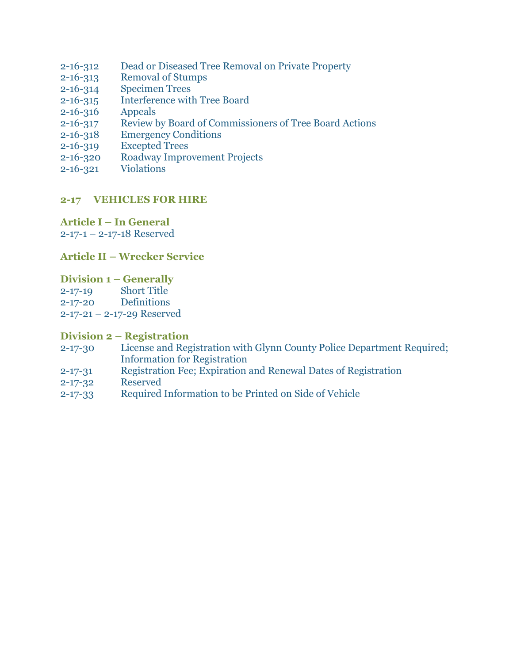- 2-16-312 [Dead or Diseased Tree Removal on Private Property](http://www.glynncounty.org/Archive.aspx?ADID=78)
- 2-16-313 [Removal of Stumps](http://www.glynncounty.org/Archive.aspx?ADID=78)
- 2-16-314 [Specimen Trees](http://www.glynncounty.org/Archive.aspx?ADID=78)
- 2-16-315 [Interference with Tree Board](http://www.glynncounty.org/Archive.aspx?ADID=78)
- [2-16-316](http://www.glynncounty.org/Archive.aspx?ADID=78) Appeals
- 2-16-317 [Review by Board of Commissioners of Tree Board Actions](http://www.glynncounty.org/Archive.aspx?ADID=78)
- 2-16-318 [Emergency Conditions](http://www.glynncounty.org/Archive.aspx?ADID=78)
- 2-16-319 [Excepted Trees](http://www.glynncounty.org/Archive.aspx?ADID=78)
- 2-16-320 [Roadway Improvement Projects](http://www.glynncounty.org/Archive.aspx?ADID=78)
- 2-16-321 [Violations](http://www.glynncounty.org/Archive.aspx?ADID=78)

# **[2-17 VEHICLES FOR HIRE](http://www.glynncounty.org/Archive.aspx?ADID=79)**

**Article I – [In General](http://www.glynncounty.org/Archive.aspx?ADID=79)** 2-17-1 – [2-17-18 Reserved](http://www.glynncounty.org/Archive.aspx?ADID=79)

# **Article II – [Wrecker Service](http://www.glynncounty.org/Archive.aspx?ADID=79)**

**[Division 1](http://www.glynncounty.org/Archive.aspx?ADID=79) – Generally**

2-17-19 [Short Title](http://www.glynncounty.org/Archive.aspx?ADID=79) 2-17-20 [Definitions](http://www.glynncounty.org/Archive.aspx?ADID=79) 2-17-21 – [2-17-29 Reserved](http://www.glynncounty.org/Archive.aspx?ADID=79)

#### **Division 2 – [Registration](http://www.glynncounty.org/Archive.aspx?ADID=79)**

- 2-17-30 [License and Registration with Glynn County Police Department Required;](http://www.glynncounty.org/Archive.aspx?ADID=79) [Information for Registration](http://www.glynncounty.org/Archive.aspx?ADID=79)
- 2-17-31 [Registration Fee; Expiration and Renewal Dates of Registration](http://www.glynncounty.org/Archive.aspx?ADID=79)
- 2-17-32 [Reserved](http://www.glynncounty.org/Archive.aspx?ADID=79)
- 2-17-33 [Required Information to be Printed on](http://www.glynncounty.org/Archive.aspx?ADID=79) Side of Vehicle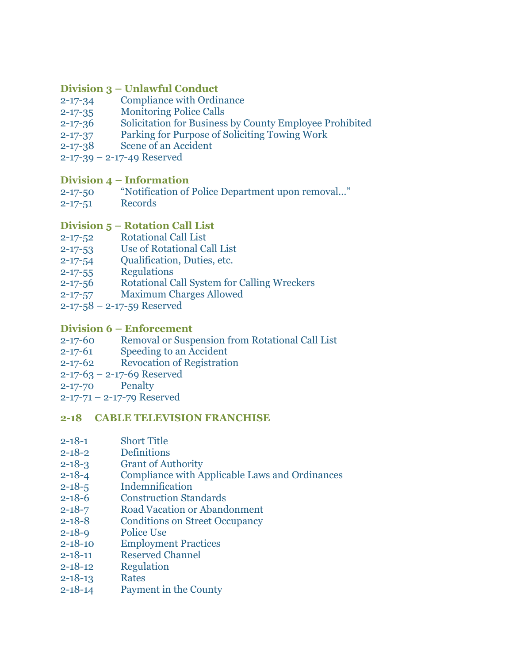#### **Division 3 – [Unlawful Conduct](http://www.glynncounty.org/Archive.aspx?ADID=79)**

- 2-17-34 [Compliance with Ordinance](http://www.glynncounty.org/Archive.aspx?ADID=79)
- 2-17-35 [Monitoring Police Calls](http://www.glynncounty.org/Archive.aspx?ADID=79)
- 2-17-36 [Solicitation for Business by County Employee Prohibited](http://www.glynncounty.org/Archive.aspx?ADID=79)
- 2-17-37 [Parking for Purpose of Soliciting Towing Work](http://www.glynncounty.org/Archive.aspx?ADID=79)
- 2-17-38 [Scene of an Accident](http://www.glynncounty.org/Archive.aspx?ADID=79)
- 2-17-39 [2-17-49 Reserved](http://www.glynncounty.org/Archive.aspx?ADID=79)

### **Division 4 – [Information](http://www.glynncounty.org/Archive.aspx?ADID=79)**

- 2-17-50 ["Notification of Police Department upon removal…"](http://www.glynncounty.org/Archive.aspx?ADID=79)
- 2-17-51 [Records](http://www.glynncounty.org/Archive.aspx?ADID=79)

# **Division 5 – [Rotation Call List](http://www.glynncounty.org/Archive.aspx?ADID=79)**

- 2-17-52 [Rotational Call List](http://www.glynncounty.org/Archive.aspx?ADID=79)
- 2-17-53 [Use of Rotational Call List](http://www.glynncounty.org/Archive.aspx?ADID=79)
- 2-17-54 [Qualification, Duties, etc.](http://www.glynncounty.org/Archive.aspx?ADID=79)
- 2-17-55 [Regulations](http://www.glynncounty.org/Archive.aspx?ADID=79)
- 2-17-56 [Rotational Call System for Calling Wreckers](http://www.glynncounty.org/Archive.aspx?ADID=79)
- 2-17-57 [Maximum Charges Allowed](http://www.glynncounty.org/Archive.aspx?ADID=79)
- 2-17-58 [2-17-59 Reserved](http://www.glynncounty.org/Archive.aspx?ADID=79)

#### **Division 6 – [Enforcement](http://www.glynncounty.org/Archive.aspx?ADID=79)**

- 2-17-60 [Removal or Suspension from Rotational Call List](http://www.glynncounty.org/Archive.aspx?ADID=79)
- 2-17-61 [Speeding to an Accident](http://www.glynncounty.org/Archive.aspx?ADID=79)
- 2-17-62 [Revocation of Registration](http://www.glynncounty.org/Archive.aspx?ADID=79)
- 2-17-63 [2-17-69 Reserved](http://www.glynncounty.org/Archive.aspx?ADID=79)
- [2-17-70](http://www.glynncounty.org/Archive.aspx?ADID=79) Penalty
- 2-17-71 [2-17-79 Reserved](http://www.glynncounty.org/Archive.aspx?ADID=79)

#### **[2-18 CABLE TELEVISION FRANCHISE](http://www.glynncounty.org/Archive.aspx?ADID=80)**

- 2-18-1 [Short Title](http://www.glynncounty.org/Archive.aspx?ADID=80)
- 2-18-2 [Definitions](http://www.glynncounty.org/Archive.aspx?ADID=80)
- 2-18-3 [Grant of Authority](http://www.glynncounty.org/Archive.aspx?ADID=80)
- 2-18-4 [Compliance with Applicable Laws and](http://www.glynncounty.org/Archive.aspx?ADID=80) Ordinances
- 2-18-5 [Indemnification](http://www.glynncounty.org/Archive.aspx?ADID=80)
- 2-18-6 [Construction Standards](http://www.glynncounty.org/Archive.aspx?ADID=80)
- 2-18-7 [Road Vacation or Abandonment](http://www.glynncounty.org/Archive.aspx?ADID=80)
- 2-18-8 [Conditions on Street Occupancy](http://www.glynncounty.org/Archive.aspx?ADID=80)
- 2-18-9 [Police Use](http://www.glynncounty.org/Archive.aspx?ADID=80)
- 2-18-10 [Employment Practices](http://www.glynncounty.org/Archive.aspx?ADID=80)
- 2-18-11 [Reserved Channel](http://www.glynncounty.org/Archive.aspx?ADID=80)
- 2-18-12 [Regulation](http://www.glynncounty.org/Archive.aspx?ADID=80)
- [2-18-13](http://www.glynncounty.org/Archive.aspx?ADID=80) Rates
- 2-18-14 [Payment in the County](http://www.glynncounty.org/Archive.aspx?ADID=80)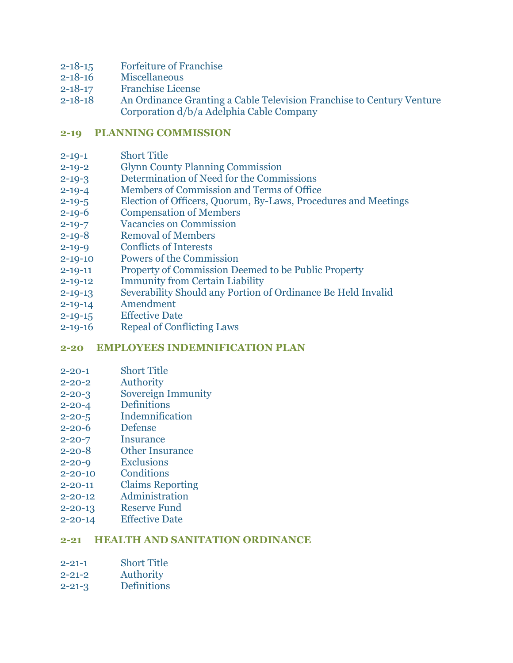- 2-18-15 [Forfeiture of Franchise](http://www.glynncounty.org/Archive.aspx?ADID=80)
- 2-18-16 [Miscellaneous](http://www.glynncounty.org/Archive.aspx?ADID=80)
- 2-18-17 [Franchise License](http://www.glynncounty.org/Archive.aspx?ADID=80)
- 2-18-18 [An Ordinance Granting a Cable Television Franchise to Century Venture](http://www.glynncounty.org/Archive.aspx?ADID=80) [Corporation d/b/a Adelphia Cable Company](http://www.glynncounty.org/Archive.aspx?ADID=80)

### **[2-19 PLANNING COMMISSION](http://www.glynncounty.org/Archive.aspx?ADID=81)**

- 2-19-1 [Short Title](http://www.glynncounty.org/Archive.aspx?ADID=81)
- 2-19-2 [Glynn County Planning Commission](http://www.glynncounty.org/Archive.aspx?ADID=81)
- 2-19-3 [Determination of Need for the Commissions](http://www.glynncounty.org/Archive.aspx?ADID=81)
- 2-19-4 [Members of Commission and Terms of Office](http://www.glynncounty.org/Archive.aspx?ADID=81)
- 2-19-5 [Election of Officers, Quorum, By-Laws, Procedures and Meetings](http://www.glynncounty.org/Archive.aspx?ADID=81)
- 2-19-6 [Compensation of Members](http://www.glynncounty.org/Archive.aspx?ADID=81)
- 2-19-7 [Vacancies on Commission](http://www.glynncounty.org/Archive.aspx?ADID=81)
- 2-19-8 [Removal of Members](http://www.glynncounty.org/Archive.aspx?ADID=81)
- 2-19-9 [Conflicts of Interests](http://www.glynncounty.org/Archive.aspx?ADID=81)
- 2-19-10 [Powers of the Commission](http://www.glynncounty.org/Archive.aspx?ADID=81)
- 2-19-11 [Property of Commission Deemed to be](http://www.glynncounty.org/Archive.aspx?ADID=81) Public Property
- 2-19-12 [Immunity from Certain Liability](http://www.glynncounty.org/Archive.aspx?ADID=81)
- 2-19-13 [Severability Should any Portion of](http://www.glynncounty.org/Archive.aspx?ADID=81) Ordinance Be Held Invalid
- 2-19-14 [Amendment](http://www.glynncounty.org/Archive.aspx?ADID=81)
- 2-19-15 [Effective Date](http://www.glynncounty.org/Archive.aspx?ADID=81)
- 2-19-16 [Repeal of Conflicting Laws](http://www.glynncounty.org/Archive.aspx?ADID=81)

#### **[2-20 EMPLOYEES INDEMNIFICATION PLAN](http://www.glynncounty.org/Archive.aspx?ADID=82)**

- 2-20-1 [Short Title](http://www.glynncounty.org/Archive.aspx?ADID=82)
- 2-20-2 [Authority](http://www.glynncounty.org/Archive.aspx?ADID=82)
- 2-20-3 [Sovereign Immunity](http://www.glynncounty.org/Archive.aspx?ADID=82)
- 2-20-4 [Definitions](http://www.glynncounty.org/Archive.aspx?ADID=82)
- 2-20-5 [Indemnification](http://www.glynncounty.org/Archive.aspx?ADID=82)
- 2-20-6 [Defense](http://www.glynncounty.org/Archive.aspx?ADID=82)
- 2-20-7 [Insurance](http://www.glynncounty.org/Archive.aspx?ADID=82)
- 2-20-8 [Other Insurance](http://www.glynncounty.org/Archive.aspx?ADID=82)
- 2-20-9 [Exclusions](http://www.glynncounty.org/Archive.aspx?ADID=82)
- 2-20-10 [Conditions](http://www.glynncounty.org/Archive.aspx?ADID=82)
- 2-20-11 [Claims Reporting](http://www.glynncounty.org/Archive.aspx?ADID=82)
- 2-20-12 [Administration](http://www.glynncounty.org/Archive.aspx?ADID=82)
- 2-20-13 [Reserve Fund](http://www.glynncounty.org/Archive.aspx?ADID=82)
- 2-20-14 [Effective Date](http://www.glynncounty.org/Archive.aspx?ADID=82)

#### **[2-21 HEALTH AND SANITATION ORDINANCE](http://www.glynncounty.org/Archive.aspx?ADID=83)**

- 2-21-1 [Short Title](http://www.glynncounty.org/Archive.aspx?ADID=83)
- 2-21-2 [Authority](http://www.glynncounty.org/Archive.aspx?ADID=83)
- 2-21-3 [Definitions](http://www.glynncounty.org/Archive.aspx?ADID=83)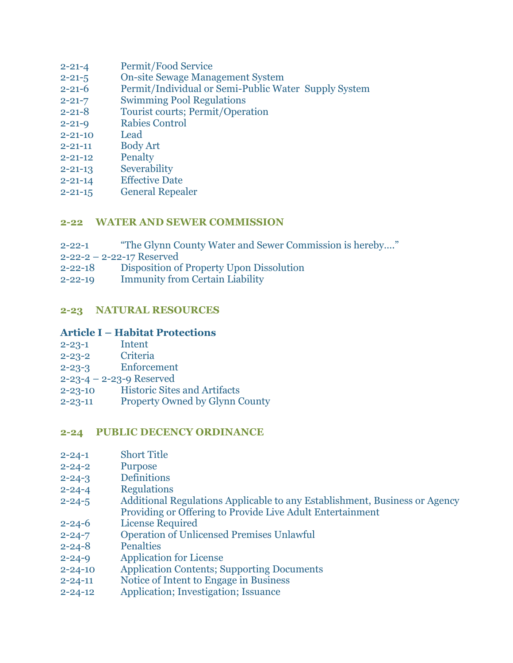- 2-21-4 [Permit/Food Service](http://www.glynncounty.org/Archive.aspx?ADID=83)
- 2-21-5 [On-site Sewage Management System](http://www.glynncounty.org/Archive.aspx?ADID=83)
- 2-21-6 [Permit/Individual or Semi-Public Water Supply System](http://www.glynncounty.org/Archive.aspx?ADID=83)
- 2-21-7 [Swimming Pool Regulations](http://www.glynncounty.org/Archive.aspx?ADID=83)
- 2-21-8 [Tourist courts; Permit/Operation](http://www.glynncounty.org/Archive.aspx?ADID=83)
- 2-21-9 [Rabies Control](http://www.glynncounty.org/Archive.aspx?ADID=83)
- [2-21-10](http://www.glynncounty.org/Archive.aspx?ADID=83) Lead
- 2-21-11 [Body Art](http://www.glynncounty.org/Archive.aspx?ADID=83)
- 2-21-12 [Penalty](http://www.glynncounty.org/Archive.aspx?ADID=83)
- 2-21-13 [Severability](http://www.glynncounty.org/Archive.aspx?ADID=83)
- 2-21-14 [Effective Date](http://www.glynncounty.org/Archive.aspx?ADID=83)
- 2-21-15 [General Repealer](http://www.glynncounty.org/Archive.aspx?ADID=83)

#### **[2-22 WATER AND SEWER COMMISSION](http://www.glynncounty.org/Archive.aspx?ADID=84)**

- 2-22-1 ["The Glynn County Water and Sewer Commission is hereby…."](http://www.glynncounty.org/Archive.aspx?ADID=84)
- 2-22-2 [2-22-17 Reserved](http://www.glynncounty.org/Archive.aspx?ADID=84)
- 2-22-18 [Disposition of Property Upon Dissolution](http://www.glynncounty.org/Archive.aspx?ADID=84)
- 2-22-19 [Immunity from Certain Liability](http://www.glynncounty.org/Archive.aspx?ADID=84)

#### **[2-23 NATURAL RESOURCES](http://www.glynncounty.org/Archive.aspx?ADID=85)**

#### **Article I – [Habitat Protections](http://www.glynncounty.org/Archive.aspx?ADID=85)**

- [2-23-1](http://www.glynncounty.org/Archive.aspx?ADID=85) Intent
- 2-23-2 [Criteria](http://www.glynncounty.org/Archive.aspx?ADID=85)
- 2-23-3 [Enforcement](http://www.glynncounty.org/Archive.aspx?ADID=85)
- 2-23-4 [2-23-9 Reserved](http://www.glynncounty.org/Archive.aspx?ADID=85)
- 2-23-10 [Historic Sites and Artifacts](http://www.glynncounty.org/Archive.aspx?ADID=85)
- 2-23-11 [Property Owned by Glynn County](http://www.glynncounty.org/Archive.aspx?ADID=85)

#### **[2-24 PUBLIC DECENCY ORDINANCE](http://www.glynncounty.org/Archive.aspx?ADID=86)**

- 2-24-1 [Short Title](http://www.glynncounty.org/Archive.aspx?ADID=86)
- 2-24-2 [Purpose](http://www.glynncounty.org/Archive.aspx?ADID=86)
- 2-24-3 [Definitions](http://www.glynncounty.org/Archive.aspx?ADID=86)
- 2-24-4 [Regulations](http://www.glynncounty.org/Archive.aspx?ADID=86)
- 2-24-5 [Additional Regulations Applicable to any](http://www.glynncounty.org/Archive.aspx?ADID=86) Establishment, Business or Agency [Providing or Offering to Provide Live](http://www.glynncounty.org/Archive.aspx?ADID=86) Adult Entertainment
- 2-24-6 [License Required](http://www.glynncounty.org/Archive.aspx?ADID=86)
- 2-24-7 [Operation of Unlicensed Premises](http://www.glynncounty.org/Archive.aspx?ADID=86) Unlawful
- 2-24-8 [Penalties](http://www.glynncounty.org/Archive.aspx?ADID=86)
- 2-24-9 [Application for License](http://www.glynncounty.org/Archive.aspx?ADID=86)
- 2-24-10 [Application Contents; Supporting](http://www.glynncounty.org/Archive.aspx?ADID=86) Documents
- 2-24-11 [Notice of Intent to Engage in Business](http://www.glynncounty.org/Archive.aspx?ADID=86)
- 2-24-12 [Application; Investigation; Issuance](http://www.glynncounty.org/Archive.aspx?ADID=86)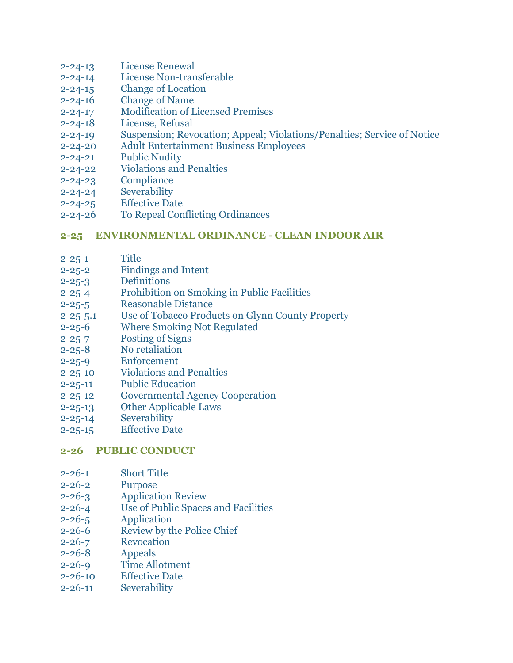- 2-24-13 [License Renewal](http://www.glynncounty.org/Archive.aspx?ADID=86)
- 2-24-14 [License Non-transferable](http://www.glynncounty.org/Archive.aspx?ADID=86)
- 2-24-15 [Change of Location](http://www.glynncounty.org/Archive.aspx?ADID=86)
- 2-24-16 [Change of Name](http://www.glynncounty.org/Archive.aspx?ADID=86)
- 2-24-17 [Modification of Licensed Premises](http://www.glynncounty.org/Archive.aspx?ADID=86)
- 2-24-18 [License, Refusal](http://www.glynncounty.org/Archive.aspx?ADID=86)
- 2-24-19 Suspension; Revocation; Appeal; [Violations/Penalties; Service of Notice](http://www.glynncounty.org/Archive.aspx?ADID=86)
- 2-24-20 [Adult Entertainment Business Employees](http://www.glynncounty.org/Archive.aspx?ADID=86)
- 2-24-21 [Public Nudity](http://www.glynncounty.org/Archive.aspx?ADID=86)
- 2-24-22 [Violations and Penalties](http://www.glynncounty.org/Archive.aspx?ADID=86)
- 2-24-23 [Compliance](http://www.glynncounty.org/Archive.aspx?ADID=86)
- 2-24-24 [Severability](http://www.glynncounty.org/Archive.aspx?ADID=86)
- 2-24-25 [Effective Date](http://www.glynncounty.org/Archive.aspx?ADID=86)
- 2-24-26 [To Repeal Conflicting Ordinances](http://www.glynncounty.org/Archive.aspx?ADID=86)

#### **[2-25 ENVIRONMENTAL ORDINANCE -](http://www.glynncounty.org/Archive.aspx?ADID=87) CLEAN INDOOR AIR**

- [2-25-1](http://www.glynncounty.org/Archive.aspx?ADID=87) Title
- 2-25-2 [Findings and Intent](http://www.glynncounty.org/Archive.aspx?ADID=87)
- 2-25-3 [Definitions](http://www.glynncounty.org/Archive.aspx?ADID=87)
- 2-25-4 [Prohibition on Smoking in Public Facilities](http://www.glynncounty.org/Archive.aspx?ADID=87)
- 2-25-5 [Reasonable Distance](http://www.glynncounty.org/Archive.aspx?ADID=87)
- 2-25-5.1 [Use of Tobacco Products on Glynn County Property](http://www.glynncounty.org/Archive.aspx?ADID=87)
- 2-25-6 [Where Smoking Not Regulated](http://www.glynncounty.org/Archive.aspx?ADID=87)
- 2-25-7 [Posting of Signs](http://www.glynncounty.org/Archive.aspx?ADID=87)
- 2-25-8 [No retaliation](http://www.glynncounty.org/Archive.aspx?ADID=87)
- 2-25-9 [Enforcement](http://www.glynncounty.org/Archive.aspx?ADID=87)
- 2-25-10 [Violations and Penalties](http://www.glynncounty.org/Archive.aspx?ADID=87)
- 2-25-11 [Public Education](http://www.glynncounty.org/Archive.aspx?ADID=87)
- 2-25-12 [Governmental Agency Cooperation](http://www.glynncounty.org/Archive.aspx?ADID=87)
- 2-25-13 [Other Applicable Laws](http://www.glynncounty.org/Archive.aspx?ADID=87)
- 2-25-14 [Severability](http://www.glynncounty.org/Archive.aspx?ADID=87)
- 2-25-15 [Effective Date](http://www.glynncounty.org/Archive.aspx?ADID=87)

#### **[2-26 PUBLIC CONDUCT](http://www.glynncounty.org/Archive.aspx?ADID=88)**

- 2-26-1 [Short Title](http://www.glynncounty.org/Archive.aspx?ADID=88)
- 2-26-2 [Purpose](http://www.glynncounty.org/Archive.aspx?ADID=88)
- 2-26-3 [Application Review](http://www.glynncounty.org/Archive.aspx?ADID=88)
- 2-26-4 [Use of Public Spaces and Facilities](http://www.glynncounty.org/Archive.aspx?ADID=88)
- 2-26-5 [Application](http://www.glynncounty.org/Archive.aspx?ADID=88)
- 2-26-6 [Review by the Police Chief](http://www.glynncounty.org/Archive.aspx?ADID=88)
- 2-26-7 [Revocation](http://www.glynncounty.org/Archive.aspx?ADID=88)
- 2-26-8 [Appeals](http://www.glynncounty.org/Archive.aspx?ADID=88)
- 2-26-9 [Time Allotment](http://www.glynncounty.org/Archive.aspx?ADID=88)
- 2-26-10 [Effective Date](http://www.glynncounty.org/Archive.aspx?ADID=88)
- 2-26-11 [Severability](http://www.glynncounty.org/Archive.aspx?ADID=88)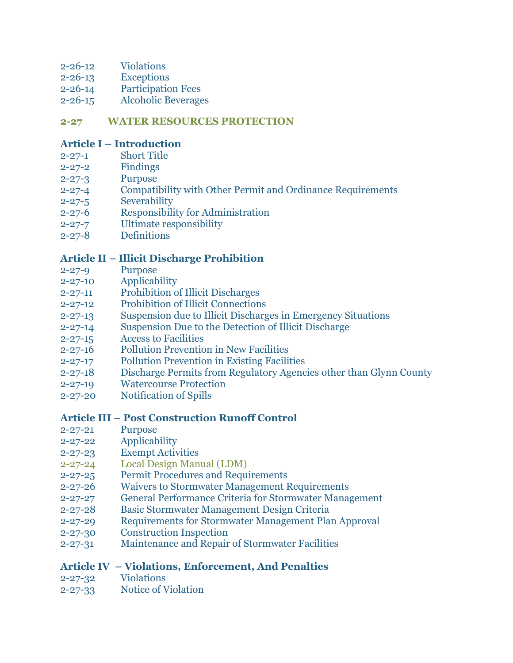- 2-26-12 [Violations](http://www.glynncounty.org/Archive.aspx?ADID=88)
- 2-26-13 [Exceptions](http://www.glynncounty.org/Archive.aspx?ADID=88)
- 2-26-14 [Participation Fees](http://www.glynncounty.org/Archive.aspx?ADID=88)
- 2-26-15 [Alcoholic Beverages](http://www.glynncounty.org/Archive.aspx?ADID=88)

### **[2-27 WATER RESOURCES PROTECTION](http://www.glynncounty.org/Archive.aspx?ADID=90)**

### **Article I – [Introduction](http://www.glynncounty.org/Archive.aspx?ADID=90)**

- 2-27-1 [Short Title](http://www.glynncounty.org/Archive.aspx?ADID=90)
- 2-27-2 [Findings](http://www.glynncounty.org/Archive.aspx?ADID=90)
- 2-27-3 [Purpose](http://www.glynncounty.org/Archive.aspx?ADID=90)
- 2-27-4 [Compatibility with Other Permit and Ordinance Requirements](http://www.glynncounty.org/Archive.aspx?ADID=90)
- 2-27-5 [Severability](http://www.glynncounty.org/Archive.aspx?ADID=90)
- 2-27-6 [Responsibility for Administration](http://www.glynncounty.org/Archive.aspx?ADID=90)
- 2-27-7 [Ultimate responsibility](http://www.glynncounty.org/Archive.aspx?ADID=90)
- 2-27-8 [Definitions](http://www.glynncounty.org/Archive.aspx?ADID=90)

# **Article II – [Illicit Discharge Prohibition](http://www.glynncounty.org/Archive.aspx?ADID=90)**

- 2-27-9 [Purpose](http://www.glynncounty.org/Archive.aspx?ADID=90)
- 2-27-10 [Applicability](http://www.glynncounty.org/Archive.aspx?ADID=90)
- 2-27-11 [Prohibition of Illicit Discharges](http://www.glynncounty.org/Archive.aspx?ADID=90)
- 2-27-12 [Prohibition of Illicit Connections](http://www.glynncounty.org/Archive.aspx?ADID=90)
- 2-27-13 [Suspension due to Illicit Discharges in Emergency Situations](http://www.glynncounty.org/Archive.aspx?ADID=90)
- 2-27-14 [Suspension Due to the Detection of Illicit Discharge](http://www.glynncounty.org/Archive.aspx?ADID=90)
- 2-27-15 [Access to Facilities](http://www.glynncounty.org/Archive.aspx?ADID=90)
- 2-27-16 [Pollution Prevention in New Facilities](http://www.glynncounty.org/Archive.aspx?ADID=90)
- 2-27-17 [Pollution Prevention in Existing Facilities](http://www.glynncounty.org/Archive.aspx?ADID=90)
- 2-27-18 [Discharge Permits from Regulatory Agencies other than Glynn County](http://www.glynncounty.org/Archive.aspx?ADID=90)
- 2-27-19 [Watercourse Protection](http://www.glynncounty.org/Archive.aspx?ADID=90)
- 2-27-20 [Notification of Spills](http://www.glynncounty.org/Archive.aspx?ADID=90)

#### **Article III – [Post Construction Runoff Control](http://www.glynncounty.org/Archive.aspx?ADID=90)**

- 2-27-21 [Purpose](http://www.glynncounty.org/Archive.aspx?ADID=90)
- 2-27-22 [Applicability](http://www.glynncounty.org/Archive.aspx?ADID=90)
- 2-27-23 [Exempt Activities](http://www.glynncounty.org/Archive.aspx?ADID=90)
- 2-27-24 [Local Design Manual \(LDM\)](http://www.glynncounty.org/Archive.aspx?ADID=89)
- 2-27-25 [Permit Procedures and Requirements](http://www.glynncounty.org/Archive.aspx?ADID=90)
- 2-27-26 [Waivers to Stormwater Management Requirements](http://www.glynncounty.org/Archive.aspx?ADID=90)
- 2-27-27 [General Performance Criteria for Stormwater Management](http://www.glynncounty.org/Archive.aspx?ADID=90)
- 2-27-28 [Basic Stormwater Management Design Criteria](http://www.glynncounty.org/Archive.aspx?ADID=90)
- 2-27-29 [Requirements for Stormwater Management Plan Approval](http://www.glynncounty.org/Archive.aspx?ADID=90)
- 2-27-30 [Construction Inspection](http://www.glynncounty.org/Archive.aspx?ADID=90)
- 2-27-31 [Maintenance and Repair of Stormwater Facilities](http://www.glynncounty.org/Archive.aspx?ADID=90)

# **Article IV – [Violations, Enforcement, And Penalties](http://www.glynncounty.org/Archive.aspx?ADID=90)**

- 2-27-32 [Violations](http://www.glynncounty.org/Archive.aspx?ADID=90)
- 2-27-33 [Notice of Violation](http://www.glynncounty.org/Archive.aspx?ADID=90)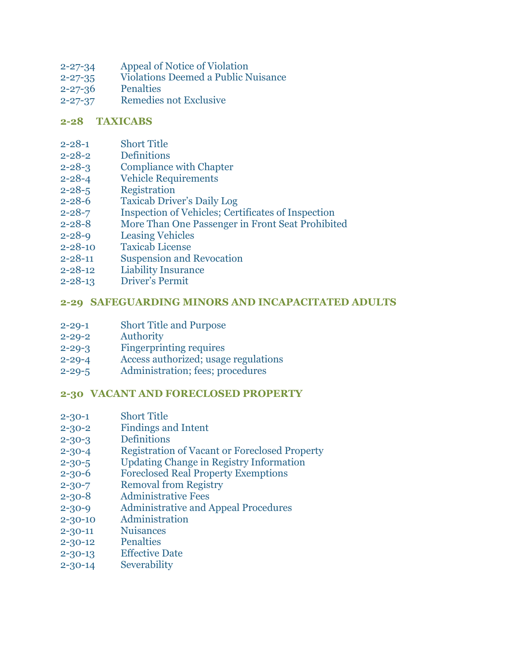- 2-27-34 [Appeal of Notice of Violation](http://www.glynncounty.org/Archive.aspx?ADID=90)
- 2-27-35 [Violations Deemed a Public Nuisance](http://www.glynncounty.org/Archive.aspx?ADID=90)
- 2-27-36 [Penalties](http://www.glynncounty.org/Archive.aspx?ADID=90)
- 2-27-37 [Remedies not Exclusive](http://www.glynncounty.org/Archive.aspx?ADID=90)

#### **[2-28 TAXICABS](http://www.glynncounty.org/Archive.aspx?ADID=91)**

- 2-28-1 [Short Title](http://www.glynncounty.org/Archive.aspx?ADID=91)
- 2-28-2 [Definitions](http://www.glynncounty.org/Archive.aspx?ADID=91)
- 2-28-3 [Compliance with Chapter](http://www.glynncounty.org/Archive.aspx?ADID=91)
- 2-28-4 [Vehicle Requirements](http://www.glynncounty.org/Archive.aspx?ADID=91)
- 2-28-5 [Registration](http://www.glynncounty.org/Archive.aspx?ADID=91)
- 2-28-6 [Taxicab Driver's Daily Log](http://www.glynncounty.org/Archive.aspx?ADID=91)
- 2-28-7 [Inspection of Vehicles; Certificates of Inspection](http://www.glynncounty.org/Archive.aspx?ADID=91)
- 2-28-8 [More Than One Passenger in Front Seat Prohibited](http://www.glynncounty.org/Archive.aspx?ADID=91)
- 2-28-9 [Leasing Vehicles](http://www.glynncounty.org/Archive.aspx?ADID=91)
- 2-28-10 [Taxicab License](http://www.glynncounty.org/Archive.aspx?ADID=91)
- 2-28-11 [Suspension and Revocation](http://www.glynncounty.org/Archive.aspx?ADID=91)
- 2-28-12 [Liability Insurance](http://www.glynncounty.org/Archive.aspx?ADID=91)
- 2-28-13 [Driver's Permit](http://www.glynncounty.org/Archive.aspx?ADID=91)

# **2-29 [SAFEGUARDING MINORS AND INCAPACITATED ADULTS](http://www.glynncounty.org/Archive.aspx?ADID=1117)**

- 2-29-1 Short Title [and Purpose](http://www.glynncounty.org/Archive.aspx?ADID=1117)
- 2-29-2 [Authority](http://www.glynncounty.org/Archive.aspx?ADID=1117)
- 2-29-3 [Fingerprinting requires](http://www.glynncounty.org/Archive.aspx?ADID=1117)
- 2-29-4 [Access authorized; usage regulations](http://www.glynncounty.org/Archive.aspx?ADID=1117)
- 2-29-5 [Administration; fees; procedures](http://www.glynncounty.org/Archive.aspx?ADID=1117)

# **2-30 [VACANT AND FORECLOSED PROPERTY](http://www.glynncounty.org/Archive.aspx?ADID=1337)**

- 2-30-1 [Short Title](http://www.glynncounty.org/Archive.aspx?ADID=1337)
- 2-30-2 [Findings and Intent](http://www.glynncounty.org/Archive.aspx?ADID=1337)
- 2-30-3 [Definitions](http://www.glynncounty.org/Archive.aspx?ADID=1337)
- 2-30-4 [Registration of Vacant or Foreclosed Property](http://www.glynncounty.org/Archive.aspx?ADID=1337)
- 2-30-5 [Updating Change in Registry Information](http://www.glynncounty.org/Archive.aspx?ADID=1337)
- 2-30-6 [Foreclosed Real Property Exemptions](http://www.glynncounty.org/Archive.aspx?ADID=1337)
- 2-30-7 [Removal from Registry](http://www.glynncounty.org/Archive.aspx?ADID=1337)
- 2-30-8 [Administrative Fees](http://www.glynncounty.org/Archive.aspx?ADID=1337)
- 2-30-9 [Administrative and Appeal Procedures](http://www.glynncounty.org/Archive.aspx?ADID=1337)
- 2-30-10 [Administration](http://www.glynncounty.org/Archive.aspx?ADID=1337)
- 2-30-11 [Nuisances](http://www.glynncounty.org/Archive.aspx?ADID=1337)
- 2-30-12 [Penalties](http://www.glynncounty.org/Archive.aspx?ADID=1337)
- 2-30-13 [Effective Date](http://www.glynncounty.org/Archive.aspx?ADID=1337)
- 2-30-14 [Severability](http://www.glynncounty.org/Archive.aspx?ADID=1337)